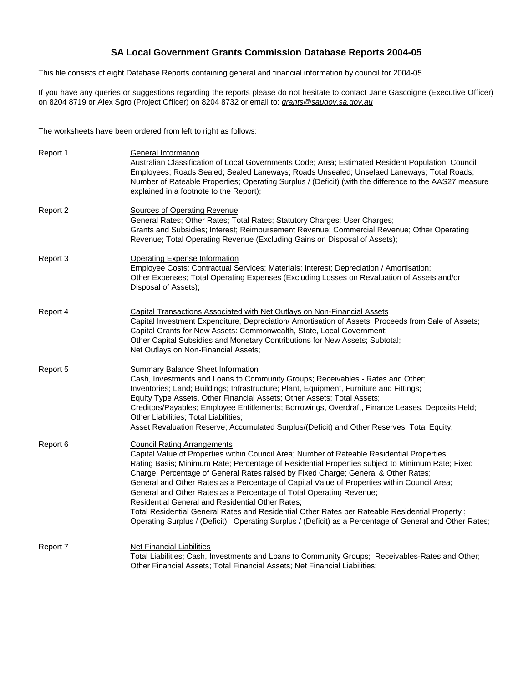# **SA Local Government Grants Commission Database Reports 2004-05**

This file consists of eight Database Reports containing general and financial information by council for 2004-05.

If you have any queries or suggestions regarding the reports please do not hesitate to contact Jane Gascoigne (Executive Officer) on 8204 8719 or Alex Sgro (Project Officer) on 8204 8732 or email to: grants@saugov.sa.gov.au

The worksheets have been ordered from left to right as follows:

| Report 1 | <b>General Information</b><br>Australian Classification of Local Governments Code; Area; Estimated Resident Population; Council<br>Employees; Roads Sealed; Sealed Laneways; Roads Unsealed; Unselaed Laneways; Total Roads;<br>Number of Rateable Properties; Operating Surplus / (Deficit) (with the difference to the AAS27 measure<br>explained in a footnote to the Report);                                                                                                                                                                                                                                                                                                                                                                                  |
|----------|--------------------------------------------------------------------------------------------------------------------------------------------------------------------------------------------------------------------------------------------------------------------------------------------------------------------------------------------------------------------------------------------------------------------------------------------------------------------------------------------------------------------------------------------------------------------------------------------------------------------------------------------------------------------------------------------------------------------------------------------------------------------|
| Report 2 | <b>Sources of Operating Revenue</b><br>General Rates; Other Rates; Total Rates; Statutory Charges; User Charges;<br>Grants and Subsidies; Interest; Reimbursement Revenue; Commercial Revenue; Other Operating<br>Revenue; Total Operating Revenue (Excluding Gains on Disposal of Assets);                                                                                                                                                                                                                                                                                                                                                                                                                                                                        |
| Report 3 | <b>Operating Expense Information</b><br>Employee Costs; Contractual Services; Materials; Interest; Depreciation / Amortisation;<br>Other Expenses; Total Operating Expenses (Excluding Losses on Revaluation of Assets and/or<br>Disposal of Assets);                                                                                                                                                                                                                                                                                                                                                                                                                                                                                                              |
| Report 4 | Capital Transactions Associated with Net Outlays on Non-Financial Assets<br>Capital Investment Expenditure, Depreciation/ Amortisation of Assets; Proceeds from Sale of Assets;<br>Capital Grants for New Assets: Commonwealth, State, Local Government;<br>Other Capital Subsidies and Monetary Contributions for New Assets; Subtotal;<br>Net Outlays on Non-Financial Assets;                                                                                                                                                                                                                                                                                                                                                                                   |
| Report 5 | <b>Summary Balance Sheet Information</b><br>Cash, Investments and Loans to Community Groups; Receivables - Rates and Other;<br>Inventories; Land; Buildings; Infrastructure; Plant, Equipment, Furniture and Fittings;<br>Equity Type Assets, Other Financial Assets; Other Assets; Total Assets;<br>Creditors/Payables; Employee Entitlements; Borrowings, Overdraft, Finance Leases, Deposits Held;<br>Other Liabilities; Total Liabilities;<br>Asset Revaluation Reserve; Accumulated Surplus/(Deficit) and Other Reserves; Total Equity;                                                                                                                                                                                                                       |
| Report 6 | <b>Council Rating Arrangements</b><br>Capital Value of Properties within Council Area; Number of Rateable Residential Properties;<br>Rating Basis; Minimum Rate; Percentage of Residential Properties subject to Minimum Rate; Fixed<br>Charge; Percentage of General Rates raised by Fixed Charge; General & Other Rates;<br>General and Other Rates as a Percentage of Capital Value of Properties within Council Area;<br>General and Other Rates as a Percentage of Total Operating Revenue;<br>Residential General and Residential Other Rates;<br>Total Residential General Rates and Residential Other Rates per Rateable Residential Property;<br>Operating Surplus / (Deficit); Operating Surplus / (Deficit) as a Percentage of General and Other Rates; |
| Report 7 | Net Financial Liabilities<br>Total Liabilities; Cash, Investments and Loans to Community Groups; Receivables-Rates and Other;<br>Other Financial Assets; Total Financial Assets; Net Financial Liabilities;                                                                                                                                                                                                                                                                                                                                                                                                                                                                                                                                                        |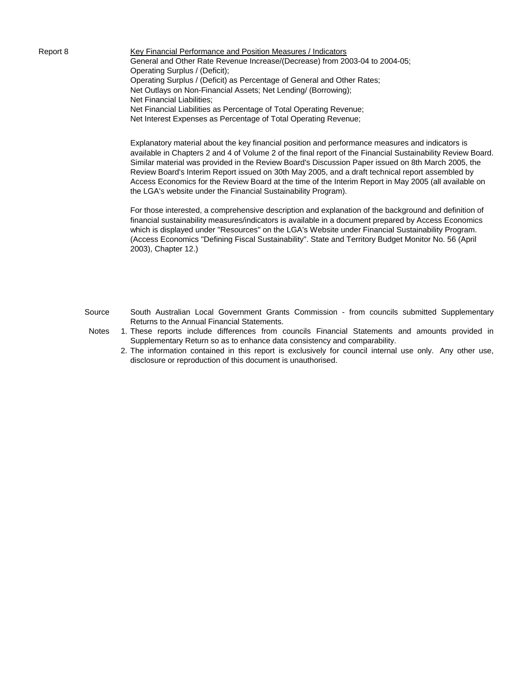Report 8 Key Financial Performance and Position Measures / Indicators General and Other Rate Revenue Increase/(Decrease) from 2003-04 to 2004-05; Operating Surplus / (Deficit); Operating Surplus / (Deficit) as Percentage of General and Other Rates; Net Outlays on Non-Financial Assets; Net Lending/ (Borrowing); Net Financial Liabilities; Net Financial Liabilities as Percentage of Total Operating Revenue; Net Interest Expenses as Percentage of Total Operating Revenue;

> Explanatory material about the key financial position and performance measures and indicators is available in Chapters 2 and 4 of Volume 2 of the final report of the Financial Sustainability Review Board. Similar material was provided in the Review Board's Discussion Paper issued on 8th March 2005, the Review Board's Interim Report issued on 30th May 2005, and a draft technical report assembled by Access Economics for the Review Board at the time of the Interim Report in May 2005 (all available on the LGA's website under the Financial Sustainability Program).

For those interested, a comprehensive description and explanation of the background and definition of financial sustainability measures/indicators is available in a document prepared by Access Economics which is displayed under "Resources" on the LGA's Website under Financial Sustainability Program. (Access Economics "Defining Fiscal Sustainability". State and Territory Budget Monitor No. 56 (April 2003), Chapter 12.)

- Source South Australian Local Government Grants Commission from councils submitted Supplementary Returns to the Annual Financial Statements.
- Notes 1. These reports include differences from councils Financial Statements and amounts provided in Supplementary Return so as to enhance data consistency and comparability.
	- 2. The information contained in this report is exclusively for council internal use only. Any other use, disclosure or reproduction of this document is unauthorised.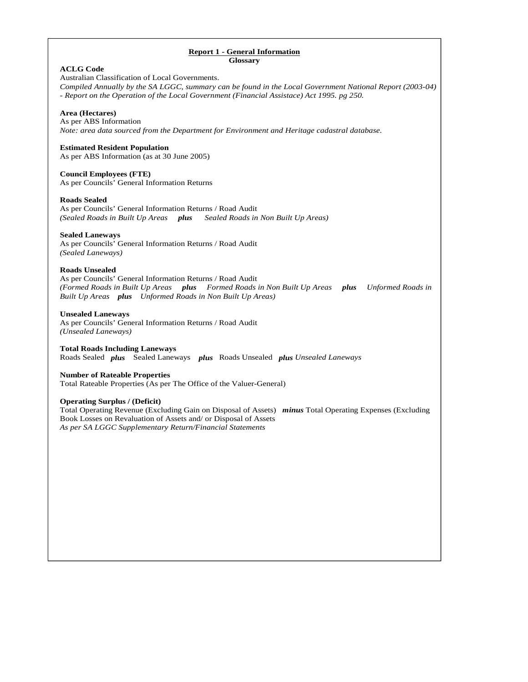## **Report 1 - General Information Glossary**

| <b>ACLG Code</b><br>Australian Classification of Local Governments.<br>Compiled Annually by the SA LGGC, summary can be found in the Local Government National Report (2003-04)<br>- Report on the Operation of the Local Government (Financial Assistace) Act 1995. pg 250.    |
|---------------------------------------------------------------------------------------------------------------------------------------------------------------------------------------------------------------------------------------------------------------------------------|
| Area (Hectares)<br>As per ABS Information<br>Note: area data sourced from the Department for Environment and Heritage cadastral database.                                                                                                                                       |
| <b>Estimated Resident Population</b><br>As per ABS Information (as at 30 June 2005)                                                                                                                                                                                             |
| <b>Council Employees (FTE)</b><br>As per Councils' General Information Returns                                                                                                                                                                                                  |
| <b>Roads Sealed</b><br>As per Councils' General Information Returns / Road Audit<br>(Sealed Roads in Built Up Areas plus<br>Sealed Roads in Non Built Up Areas)                                                                                                                 |
| <b>Sealed Laneways</b><br>As per Councils' General Information Returns / Road Audit<br>(Sealed Laneways)                                                                                                                                                                        |
| <b>Roads Unsealed</b><br>As per Councils' General Information Returns / Road Audit<br>(Formed Roads in Built Up Areas plus Formed Roads in Non Built Up Areas plus<br><b>Unformed Roads in</b><br>Built Up Areas plus Unformed Roads in Non Built Up Areas)                     |
| <b>Unsealed Laneways</b><br>As per Councils' General Information Returns / Road Audit<br>(Unsealed Laneways)                                                                                                                                                                    |
| <b>Total Roads Including Laneways</b><br>Roads Sealed plus Sealed Laneways plus Roads Unsealed plus Unsealed Laneways                                                                                                                                                           |
| <b>Number of Rateable Properties</b><br>Total Rateable Properties (As per The Office of the Valuer-General)                                                                                                                                                                     |
| <b>Operating Surplus / (Deficit)</b><br>Total Operating Revenue (Excluding Gain on Disposal of Assets) minus Total Operating Expenses (Excluding<br>Book Losses on Revaluation of Assets and/ or Disposal of Assets<br>As per SA LGGC Supplementary Return/Financial Statements |
|                                                                                                                                                                                                                                                                                 |
|                                                                                                                                                                                                                                                                                 |
|                                                                                                                                                                                                                                                                                 |
|                                                                                                                                                                                                                                                                                 |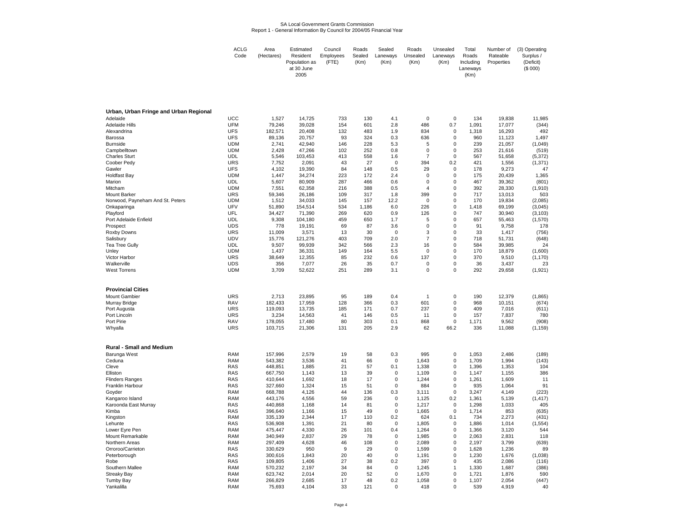#### SA Local Government Grants CommissionReport 1 - General Information By Council for 2004/05 Financial Year

| <b>ACLG</b><br>Code | Area<br>(Hectares) | Estimated<br>Resident | Council<br>Employees | Roads<br>Sealed | Sealed<br>Laneways | Roads<br>Unsealed | Unsealed<br>Laneways | Total<br>Roads | Number of<br>Rateable | (3) Operating<br>Surplus / |
|---------------------|--------------------|-----------------------|----------------------|-----------------|--------------------|-------------------|----------------------|----------------|-----------------------|----------------------------|
|                     |                    | Population as         | (FTE)                | (Km)            | (Km)               | (Km)              | (Km)                 | Including      | Properties            | (Deficit)                  |
|                     |                    | at 30 June            |                      |                 |                    |                   |                      | Lanewavs       |                       | (S 000)                    |
|                     |                    | 2005                  |                      |                 |                    |                   |                      | (Km)           |                       |                            |

| Urban, Urban Fringe and Urban Regional |                          |                    |                   |           |            |                    |                  |                            |                |                  |              |
|----------------------------------------|--------------------------|--------------------|-------------------|-----------|------------|--------------------|------------------|----------------------------|----------------|------------------|--------------|
| Adelaide                               | <b>UCC</b>               | 1,527              | 14,725            | 733       | 130        | 4.1                | 0                | $\mathbf 0$                | 134            | 19,838           | 11,985       |
| <b>Adelaide Hills</b>                  | <b>UFM</b>               | 79,246             | 39,028            | 154       | 601        | 2.8                | 486              | 0.7                        | 1,091          | 17,077           | (344)        |
| Alexandrina                            | <b>UFS</b>               | 182,571            | 20,408            | 132       | 483        | 1.9                | 834              | $\mathbf 0$                | 1,318          | 16,293           | 492          |
| Barossa                                | <b>UFS</b>               | 89,136             | 20,757            | 93        | 324        | 0.3                | 636              | $\mathbf 0$                | 960            | 11,123           | 1,497        |
| <b>Burnside</b>                        | <b>UDM</b>               | 2,741              | 42,940            | 146       | 228        | 5.3                | 5                | $\mathbf 0$                | 239            | 21,057           | (1,049)      |
| Campbelltown                           | <b>UDM</b>               | 2,428              | 47,266            | 102       | 252        | 0.8                | 0                | $\mathbf 0$                | 253            | 21,616           | (519)        |
| <b>Charles Sturt</b>                   | <b>UDL</b>               | 5,546              | 103,453           | 413       | 558        | 1.6                | $\overline{7}$   | $\mathbf 0$                | 567            | 51,658           | (5, 372)     |
| Coober Pedy                            | <b>URS</b>               | 7,752              | 2,091             | 43        | 27         | $\mathbf 0$        | 394              | 0.2                        | 421            | 1,556            | (1, 371)     |
| Gawler                                 | <b>UFS</b>               | 4,102              | 19,390            | 84        | 148        | 0.5                | 29               | $\mathbf 0$                | 178            | 9,273            | 47           |
| <b>Holdfast Bay</b>                    | <b>UDM</b>               | 1,447              | 34,274            | 223       | 172        | 2.4                | 0                | $\mathbf 0$                | 175            | 20,439           | 1,365        |
| Marion                                 | <b>UDL</b>               | 5,607              | 80,909            | 287       | 466        | 0.6                | $\mathbf 0$      | $\mathbf 0$                | 467            | 39,362           | (801)        |
| Mitcham                                | <b>UDM</b>               | 7,551              | 62,358            | 216       | 388        | 0.5                | $\overline{4}$   | $\mathbf 0$                | 392            | 28,330           | (1, 910)     |
| <b>Mount Barker</b>                    | URS                      | 59,346             | 26,186            | 109       | 317        | 1.8                | 399              | $\mathbf 0$                | 717            | 13,013           | 503          |
| Norwood, Payneham And St. Peters       | <b>UDM</b>               | 1,512              | 34,033            | 145       | 157        | 12.2               | 0                | 0                          | 170            | 19,834           | (2,085)      |
| Onkaparinga                            | UFV                      | 51,890             | 154,514           | 534       | 1,186      | 6.0                | 226              | $\mathbf 0$                | 1,418          | 69,199           | (3,045)      |
| Playford                               | UFL                      | 34,427             | 71,390            | 269       | 620        | 0.9                | 126              | $\mathbf 0$                | 747            | 30,940           | (3, 103)     |
| Port Adelaide Enfield                  | <b>UDL</b>               | 9,308              | 104,180           | 459       | 650        | 1.7                | 5                | $\mathbf 0$                | 657            | 55,463           | (1,570)      |
| Prospect                               | <b>UDS</b><br><b>URS</b> | 778<br>11,009      | 19,191            | 69        | 87<br>30   | 3.6<br>$\mathbf 0$ | $\mathbf 0$<br>3 | $\mathbf 0$<br>$\mathbf 0$ | 91<br>33       | 9,758            | 178<br>(756) |
| Roxby Downs                            | <b>UDV</b>               |                    | 3,571             | 13<br>403 |            | 2.0                | $\overline{7}$   | $\mathbf 0$                | 718            | 1,417            |              |
| Salisbury                              | <b>UDL</b>               | 15,776<br>9,507    | 121,276<br>99,939 | 342       | 709<br>566 | 2.3                | 16               | $\mathbf 0$                | 584            | 51,731<br>39,985 | (648)<br>24  |
| Tea Tree Gully<br>Unley                | <b>UDM</b>               | 1.437              | 36,331            | 149       | 164        | 5.5                | $\mathbf 0$      | $\mathbf 0$                | 170            | 18,879           | (1,600)      |
| Victor Harbor                          | <b>URS</b>               | 38,649             | 12,355            | 85        | 232        | 0.6                | 137              | $\mathbf 0$                | 370            | 9,510            | (1, 170)     |
| Walkerville                            | <b>UDS</b>               | 356                | 7,077             | 26        | 35         | 0.7                | 0                | $\pmb{0}$                  | 36             | 3,437            | 23           |
| <b>West Torrens</b>                    | <b>UDM</b>               | 3,709              | 52,622            | 251       | 289        | 3.1                | $\mathbf 0$      | $\mathbf 0$                | 292            | 29,658           | (1, 921)     |
|                                        |                          |                    |                   |           |            |                    |                  |                            |                |                  |              |
| <b>Provincial Cities</b>               |                          |                    |                   |           |            |                    |                  |                            |                |                  |              |
| <b>Mount Gambier</b>                   | <b>URS</b>               | 2,713              | 23,895            | 95        | 189        | 0.4                | $\overline{1}$   | $\mathbf 0$                | 190            | 12,379           | (1,865)      |
| Murray Bridge                          | RAV                      | 182,433            | 17,959            | 128       | 366        | 0.3                | 601              | $\mathbf 0$                | 968            | 10,151           | (674)        |
| Port Augusta                           | <b>URS</b>               | 119,093            | 13,735            | 185       | 171        | 0.7                | 237              | $\mathbf 0$                | 409            | 7,016            | (611)        |
| Port Lincoln                           | <b>URS</b>               | 3,234              | 14,563            | 41        | 146        | 0.5                | 11               | $\mathbf 0$                | 157            | 7,837            | 780          |
| Port Pirie                             | <b>RAV</b>               | 178.055            | 17,480            | 80        | 303        | 0.1                | 868              | $\mathbf 0$                | 1,171          | 9,562            | (908)        |
| Whyalla                                | <b>URS</b>               | 103,715            | 21,306            | 131       | 205        | 2.9                | 62               | 66.2                       | 336            | 11,088           | (1, 159)     |
|                                        |                          |                    |                   |           |            |                    |                  |                            |                |                  |              |
| <b>Rural - Small and Medium</b>        |                          |                    |                   |           |            |                    |                  |                            |                |                  |              |
| Barunga West                           | <b>RAM</b><br><b>RAM</b> | 157,996            | 2,579<br>3,536    | 19<br>41  | 58<br>66   | 0.3<br>$\mathbf 0$ | 995              | $\mathbf 0$<br>$\mathbf 0$ | 1,053<br>1,709 | 2,486<br>1,994   | (189)        |
| Ceduna<br>Cleve                        | RAS                      | 543,382<br>448,851 | 1,885             | 21        | 57         | 0.1                | 1,643<br>1,338   | 0                          | 1,396          | 1,353            | (143)<br>104 |
| Elliston                               | <b>RAS</b>               | 667,750            | 1,143             | 13        | 39         | $\mathbf 0$        | 1,109            | $\mathbf 0$                | 1,147          | 1,155            | 386          |
| <b>Flinders Ranges</b>                 | <b>RAS</b>               | 410,644            | 1,692             | 18        | 17         | $\mathbf 0$        | 1,244            | $\mathbf 0$                | 1,261          | 1,609            | 11           |
| Franklin Harbour                       | <b>RAS</b>               | 327,660            | 1,324             | 15        | 51         | $\mathbf 0$        | 884              | $\mathbf 0$                | 935            | 1,064            | 91           |
| Goyder                                 | <b>RAM</b>               | 668,788            | 4,126             | 44        | 136        | 0.3                | 3,111            | $\mathbf 0$                | 3,247          | 4,149            | (223)        |
| Kangaroo Island                        | <b>RAM</b>               | 443,176            | 4,556             | 59        | 236        | $\mathbf 0$        | 1,125            | 0.2                        | 1,361          | 5,139            | (1, 417)     |
| Karoonda East Murray                   | <b>RAS</b>               | 440,868            | 1,168             | 14        | 81         | $\mathbf 0$        | 1,217            | $\mathbf 0$                | 1,298          | 1,033            | 405          |
| Kimba                                  | <b>RAS</b>               | 396,640            | 1,166             | 15        | 49         | $\mathbf 0$        | 1,665            | $\mathbf 0$                | 1,714          | 853              | (635)        |
| Kingston                               | <b>RAM</b>               | 335,139            | 2,344             | 17        | 110        | 0.2                | 624              | 0.1                        | 734            | 2,273            | (431)        |
| Lehunte                                | <b>RAS</b>               | 536,908            | 1,391             | 21        | 80         | $\mathbf 0$        | 1,805            | $\mathbf 0$                | 1,886          | 1,014            | (1, 554)     |
| Lower Eyre Pen                         | <b>RAM</b>               | 475,447            | 4,330             | 26        | 101        | 0.4                | 1,264            | $\mathbf 0$                | 1,366          | 3,120            | 544          |
| Mount Remarkable                       | <b>RAM</b>               | 340,949            | 2,837             | 29        | 78         | 0                  | 1,985            | $\mathbf 0$                | 2,063          | 2,831            | 118          |
| Northern Areas                         | RAM                      | 297,409            | 4,628             | 46        | 108        | 0                  | 2,089            | $\mathbf 0$                | 2,197          | 3,799            | (639)        |
| Orroroo/Carrieton                      | <b>RAS</b>               | 330,629            | 950               | 9         | 29         | $\mathbf 0$        | 1,599            | $\mathbf 0$                | 1,628          | 1,236            | 89           |
| Peterborough                           | <b>RAS</b>               | 300,616            | 1,843             | 20        | 40         | $\mathbf 0$        | 1,191            | $\pmb{0}$                  | 1,230          | 1,676            | (1,038)      |
| Robe                                   | <b>RAS</b>               | 109,805            | 1,406             | 27        | 38         | 0.2                | 397              | $\mathbf 0$                | 435            | 2,086            | (116)        |
| Southern Mallee                        | RAM                      | 570,232            | 2,197             | 34        | 84         | $\mathbf 0$        | 1,245            | $\mathbf{1}$               | 1,330          | 1,687            | (386)        |
| <b>Streaky Bay</b>                     | <b>RAM</b>               | 623,742            | 2,014             | 20        | 52         | $\mathbf 0$        | 1,670            | $\mathbf 0$                | 1,721          | 1,876            | 590          |
| <b>Tumby Bay</b>                       | <b>RAM</b>               | 266,829            | 2,685             | 17        | 48         | 0.2                | 1,058            | $\mathbf 0$                | 1,107          | 2,054            | (447)        |
| Yankalilla                             | <b>RAM</b>               | 75,693             | 4,104             | 33        | 121        | $\Omega$           | 418              | $\Omega$                   | 539            | 4,919            | 40           |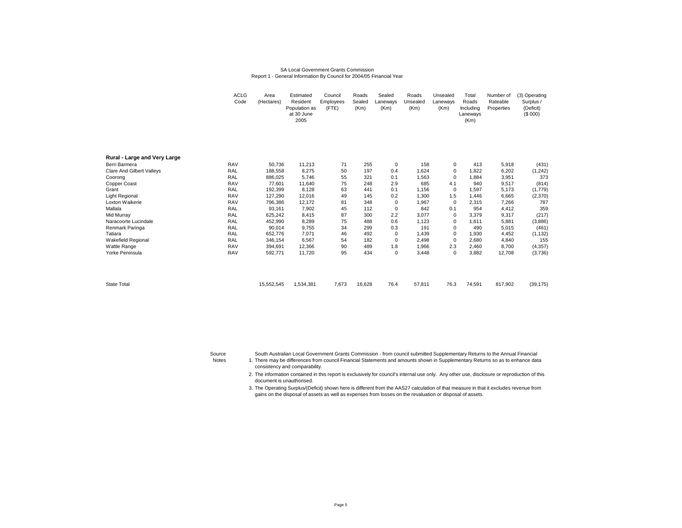#### SA Local Government Grants CommissionReport 1 - General Information By Council for 2004/05 Financial Year

|                                  | <b>ACLG</b><br>Code | Area<br>(Hectares) | Estimated<br>Resident<br>Population as<br>at 30 June<br>2005 | Council<br>Employees<br>(FTE) | Roads<br>Sealed<br>(Km) | Sealed<br>Laneways<br>(Km) | Roads<br>Unsealed<br>(Km) | Unsealed<br>Laneways<br>(Km) | Total<br>Roads<br>Including<br>Laneways<br>(Km) | Number of<br>Rateable<br>Properties | (3) Operating<br>Surplus /<br>(Deficit)<br>(\$000) |
|----------------------------------|---------------------|--------------------|--------------------------------------------------------------|-------------------------------|-------------------------|----------------------------|---------------------------|------------------------------|-------------------------------------------------|-------------------------------------|----------------------------------------------------|
| Rural - Large and Very Large     |                     |                    |                                                              |                               |                         |                            |                           |                              |                                                 |                                     |                                                    |
| Berri Barmera                    | <b>RAV</b>          | 50,736             | 11,213                                                       | 71                            | 255                     | 0                          | 158                       | 0                            | 413                                             | 5,918                               | (431)                                              |
| <b>Clare And Gilbert Valleys</b> | RAL                 | 188,558            | 8,275                                                        | 50                            | 197                     | 0.4                        | 1,624                     | 0                            | 1,822                                           | 6,202                               | (1,242)                                            |
| Coorong                          | RAL                 | 886,025            | 5,746                                                        | 55                            | 321                     | 0.1                        | 1,563                     | 0                            | 1,884                                           | 3,951                               | 373                                                |
| Copper Coast                     | <b>RAV</b>          | 77,601             | 11,640                                                       | 75                            | 248                     | 2.9                        | 685                       | 4.1                          | 940                                             | 9,517                               | (814)                                              |
| Grant                            | RAL                 | 192,399            | 8,128                                                        | 63                            | 441                     | 0.1                        | 1,156                     | $\mathbf 0$                  | 1,597                                           | 5,173                               | (1,779)                                            |
| <b>Light Regional</b>            | <b>RAV</b>          | 127,290            | 12,016                                                       | 49                            | 145                     | 0.2                        | 1,300                     | 1.5                          | 1,446                                           | 6,665                               | (2,370)                                            |
| Loxton Waikerie                  | <b>RAV</b>          | 796,386            | 12,172                                                       | 81                            | 348                     | 0                          | 1,967                     | 0                            | 2,315                                           | 7,266                               | 787                                                |
| Mallala                          | RAL                 | 93,161             | 7,902                                                        | 45                            | 112                     | 0                          | 842                       | 0.1                          | 954                                             | 4,412                               | 359                                                |
| Mid Murray                       | RAL                 | 625,242            | 8,415                                                        | 87                            | 300                     | 2.2                        | 3,077                     | 0                            | 3,379                                           | 9,317                               | (217)                                              |
| Naracoorte Lucindale             | RAL                 | 452,990            | 8,289                                                        | 75                            | 488                     | 0.6                        | 1,123                     | 0                            | 1,611                                           | 5,881                               | (3,886)                                            |
| Renmark Paringa                  | RAL                 | 90,014             | 9,755                                                        | 34                            | 299                     | 0.3                        | 191                       | 0                            | 490                                             | 5,015                               | (461)                                              |
| Tatiara                          | <b>RAL</b>          | 652,776            | 7,071                                                        | 46                            | 492                     | 0                          | 1,439                     | $\mathbf 0$                  | 1,930                                           | 4,452                               | (1, 132)                                           |
| Wakefield Regional               | RAL                 | 346,154            | 6,567                                                        | 54                            | 182                     | 0                          | 2,498                     | $^{\circ}$                   | 2,680                                           | 4,840                               | 155                                                |
| Wattle Range                     | <b>RAV</b>          | 394,691            | 12,366                                                       | 90                            | 489                     | 1.8                        | 1,966                     | 2.3                          | 2,460                                           | 8,700                               | (4, 357)                                           |
| Yorke Peninsula                  | <b>RAV</b>          | 592,771            | 11,720                                                       | 95                            | 434                     | 0                          | 3,448                     | 0                            | 3,882                                           | 12,708                              | (3,736)                                            |
| <b>State Total</b>               |                     | 15,552,545         | 1,534,381                                                    | 7,673                         | 16,628                  | 76.4                       | 57,811                    | 76.3                         | 74,591                                          | 817,902                             | (39, 175)                                          |

South Australian Local Government Grants Commission - from council submitted Supplementary Returns to the Annual Financial

 There may be differences from council Financial Statements and amounts shown in Supplementary Returns so as to enhance data consistency and comparability.

2. The information contained in this report is exclusively for council's internal use only. Any other use, disclosure or reproduction of this document is unauthorised.

3. The Operating Surplus/(Deficit) shown here is different from the AAS27 calculation of that measure in that it excludes revenue from gains on the disposal of assets as well as expenses from losses on the revaluation or disposal of assets.

SourceNotes 1.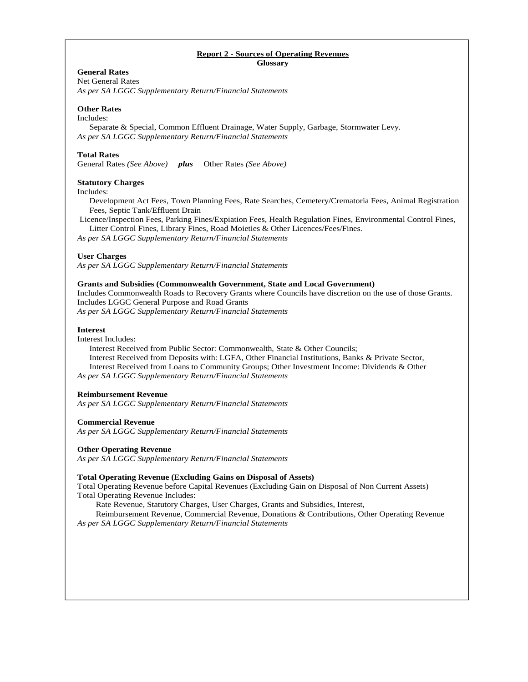### **Report 2 - Sources of Operating Revenues Glossary**

# **General Rates**

Net General Rates *As per SA LGGC Supplementary Return/Financial Statements* 

## **Other Rates**

## Includes:

 Separate & Special, Common Effluent Drainage, Water Supply, Garbage, Stormwater Levy. *As per SA LGGC Supplementary Return/Financial Statements* 

## **Total Rates**

General Rates *(See Above) plus* Other Rates *(See Above)* 

## **Statutory Charges**

Includes:

 Development Act Fees, Town Planning Fees, Rate Searches, Cemetery/Crematoria Fees, Animal Registration Fees, Septic Tank/Effluent Drain

 Licence/Inspection Fees, Parking Fines/Expiation Fees, Health Regulation Fines, Environmental Control Fines, Litter Control Fines, Library Fines, Road Moieties & Other Licences/Fees/Fines.

*As per SA LGGC Supplementary Return/Financial Statements* 

## **User Charges**

*As per SA LGGC Supplementary Return/Financial Statements* 

## **Grants and Subsidies (Commonwealth Government, State and Local Government)**

Includes Commonwealth Roads to Recovery Grants where Councils have discretion on the use of those Grants. Includes LGGC General Purpose and Road Grants

*As per SA LGGC Supplementary Return/Financial Statements* 

## **Interest**

Interest Includes:

 Interest Received from Public Sector: Commonwealth, State & Other Councils; Interest Received from Deposits with: LGFA, Other Financial Institutions, Banks & Private Sector, Interest Received from Loans to Community Groups; Other Investment Income: Dividends & Other *As per SA LGGC Supplementary Return/Financial Statements* 

## **Reimbursement Revenue**

*As per SA LGGC Supplementary Return/Financial Statements* 

## **Commercial Revenue**

*As per SA LGGC Supplementary Return/Financial Statements* 

## **Other Operating Revenue**

*As per SA LGGC Supplementary Return/Financial Statements* 

## **Total Operating Revenue (Excluding Gains on Disposal of Assets)**

Total Operating Revenue before Capital Revenues (Excluding Gain on Disposal of Non Current Assets) Total Operating Revenue Includes:

Rate Revenue, Statutory Charges, User Charges, Grants and Subsidies, Interest,

Reimbursement Revenue, Commercial Revenue, Donations & Contributions, Other Operating Revenue *As per SA LGGC Supplementary Return/Financial Statements*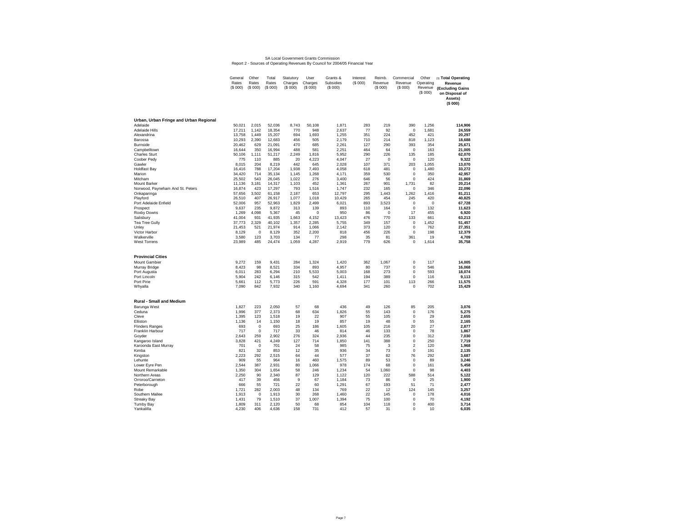### SA Local Government Grants Commission Report 2 - Sources of Operating Revenues By Council for 2004/05 Financial Year

|                                                 | General<br>Rates<br>(\$000) | Other<br>Rates<br>(\$000) | Total<br>Rates<br>(\$000) | Statutory<br>Charges<br>(S 000) | User<br>Charges<br>(S 000) | Grants &<br>Subsidies<br>(S 000) | Interest<br>(\$000) | Reimb.<br>Revenue<br>(S 000) | Commercial<br>Revenue<br>(S 000) | Other<br>Operating<br>Revenue<br>(S 000) | (3) Total Operating<br>Revenue<br>(Excluding Gains<br>on Disposal of<br>Assets)<br>(\$ 000) |
|-------------------------------------------------|-----------------------------|---------------------------|---------------------------|---------------------------------|----------------------------|----------------------------------|---------------------|------------------------------|----------------------------------|------------------------------------------|---------------------------------------------------------------------------------------------|
| Urban, Urban Fringe and Urban Regional          |                             |                           |                           |                                 |                            |                                  |                     |                              |                                  |                                          |                                                                                             |
| Adelaide                                        | 50,021                      | 2,015                     | 52,036                    | 8,743                           | 50,108                     | 1,871                            | 283                 | 219                          | 390                              | 1,256                                    | 114,906                                                                                     |
| Adelaide Hills                                  | 17.211                      | 1.142                     | 18.354                    | 770                             | 948                        | 2.637                            | 77                  | 92<br>224                    | $\mathbf 0$                      | 1.681                                    | 24.559                                                                                      |
| Alexandrina<br>Barossa                          | 13,758<br>10,293            | 1,449<br>2,390            | 15,207<br>12,683          | 694<br>456                      | 1,693<br>505               | 1,255<br>2,179                   | 351<br>710          | 214                          | 452<br>818                       | 421<br>1,123                             | 20,297<br>18,688                                                                            |
| <b>Burnside</b>                                 | 20,462                      | 629                       | 21,091                    | 470                             | 685                        | 2,261                            | 127                 | 290                          | 393                              | 354                                      | 25,671                                                                                      |
| Campbelltown                                    | 16,644                      | 350                       | 16.994                    | 488                             | 581                        | 2.251                            | 464                 | 64                           | $\mathbf 0$                      | 163                                      | 21.005                                                                                      |
| <b>Charles Sturt</b>                            | 50.106                      | 1.111                     | 51,217                    | 2.249                           | 1.816                      | 5.952                            | 290                 | 226                          | 135                              | 185                                      | 62.070                                                                                      |
| Coober Pedy                                     | 775<br>8,015                | 110<br>204                | 885<br>8,219              | 20<br>442                       | 4,223<br>645               | 4,047<br>2,028                   | 27<br>107           | $\Omega$<br>371              | $\mathbf 0$<br>203               | 120<br>1,055                             | 9,322<br>13,070                                                                             |
| Gawler<br><b>Holdfast Bay</b>                   | 16,416                      | 788                       | 17,204                    | 1,938                           | 7,493                      | 4,058                            | 618                 | 481                          | 0                                | 1,480                                    | 33,272                                                                                      |
| Marion                                          | 34.420                      | 714                       | 35.134                    | 1.145                           | 1.268                      | 4.171                            | 359                 | 530                          | $\mathbf 0$                      | 350                                      | 42.957                                                                                      |
| Mitcham                                         | 25,502                      | 543                       | 26,045                    | 1,022                           | 276                        | 3,400                            | 646                 | 56                           | $\mathbf 0$                      | 424                                      | 31,869                                                                                      |
| Mount Barker                                    | 11,136                      | 3,181                     | 14,317                    | 1,103                           | 452                        | 1,361                            | 267                 | 901                          | 1,731                            | 82                                       | 20,214                                                                                      |
| Norwood, Payneham And St. Peters<br>Onkaparinga | 16,874<br>57,656            | 423<br>3,502              | 17,297<br>61,158          | 793<br>2,187                    | 1,516<br>653               | 1,747<br>12,797                  | 232<br>295          | 165<br>1,443                 | $\mathbf 0$<br>1,262             | 346<br>1,416                             | 22.096<br>81,211                                                                            |
| Playford                                        | 26,510                      | 407                       | 26.917                    | 1.077                           | 1.018                      | 10.429                           | 265                 | 454                          | 245                              | 420                                      | 40.825                                                                                      |
| Port Adelaide Enfield                           | 52.006                      | 957                       | 52.963                    | 1.829                           | 2.499                      | 6.021                            | 893                 | 3.523                        | $\mathbf 0$                      | $\mathbf 0$                              | 67,728                                                                                      |
| Prospect                                        | 9,637                       | 235                       | 9,872                     | 313                             | 139                        | 893                              | 110                 | 164                          | $\mathbf 0$                      | 132                                      | 11,623                                                                                      |
| Roxby Downs<br>Salisbury                        | 1,269<br>41,004             | 4,098<br>931              | 5,367<br>41,935           | 45<br>1,663                     | $\Omega$<br>4,152          | 950<br>13,423                    | 86<br>476           | $\mathbf 0$<br>770           | 17<br>133                        | 455<br>661                               | 6,920<br>63,213                                                                             |
| Tea Tree Gully                                  | 37,773                      | 2,329                     | 40,102                    | 1,357                           | 2,285                      | 5.755                            | 349                 | 157                          | $\mathbf 0$                      | 1.452                                    | 51.457                                                                                      |
| Unley                                           | 21,453                      | 521                       | 21,974                    | 914                             | 1,066                      | 2,142                            | 373                 | 120                          | 0                                | 762                                      | 27,351                                                                                      |
| Victor Harbor                                   | 8,129                       | $\mathbf 0$               | 8,129                     | 352                             | 2,200                      | 818                              | 456                 | 226                          | $\mathbf 0$                      | 198                                      | 12,379                                                                                      |
| Walkerville<br><b>West Torrens</b>              | 3,580<br>23,989             | 123<br>485                | 3,703<br>24,474           | 134<br>1,059                    | 77<br>4,287                | 298<br>2,919                     | 35<br>779           | 81<br>626                    | 361<br>0                         | 19<br>1,614                              | 4,709<br>35,758                                                                             |
| <b>Provincial Cities</b>                        |                             |                           |                           |                                 |                            |                                  |                     |                              |                                  |                                          |                                                                                             |
| Mount Gambier                                   | 9,272                       | 159                       | 9,431                     | 284                             | 1,324                      | 1,420                            | 362                 | 1,067                        | $\mathbf 0$                      | 117                                      | 14,005                                                                                      |
| Murray Bridge                                   | 8,423                       | 98                        | 8,521                     | 334                             | 893                        | 4,957                            | 80                  | 737                          | $\mathbf 0$                      | 546                                      | 16,068                                                                                      |
| Port Augusta<br>Port Lincoln                    | 6,011<br>5,904              | 283<br>242                | 6,294                     | 210<br>315                      | 5,533<br>542               | 5,003<br>1,411                   | 168<br>194          | 273<br>389                   | $\mathbf 0$<br>0                 | 593<br>116                               | 18,074<br>9,113                                                                             |
| Port Pirie                                      | 5,661                       | 112                       | 6,146<br>5,773            | 226                             | 591                        | 4,328                            | 177                 | 101                          | 113                              | 266                                      | 11,575                                                                                      |
| Whyalla                                         | 7,090                       | 842                       | 7,932                     | 340                             | 1.160                      | 4,694                            | 341                 | 260                          | $\mathbf 0$                      | 702                                      | 15,429                                                                                      |
| Rural - Small and Medium                        |                             |                           |                           |                                 |                            |                                  |                     |                              |                                  |                                          |                                                                                             |
| Barunga West<br>Ceduna                          | 1.827<br>1,996              | 223<br>377                | 2.050<br>2,373            | 57<br>68                        | 68<br>634                  | 436<br>1,826                     | 49<br>55            | 126<br>143                   | 85<br>$\mathbf 0$                | 205<br>176                               | 3.076<br>5,275                                                                              |
| Cleve                                           | 1.395                       | 123                       | 1.518                     | 19                              | 22                         | 907                              | 55                  | 105                          | $\mathbf 0$                      | 29                                       | 2.655                                                                                       |
| Elliston                                        | 1.136                       | 14                        | 1.150                     | 18                              | 19                         | 857                              | 19                  | 48                           | $\mathbf 0$                      | 55                                       | 2.165                                                                                       |
| <b>Flinders Ranges</b>                          | 693                         | $\mathsf 0$               | 693                       | 25                              | 186                        | 1,605                            | 105                 | 216                          | 20                               | 27                                       | 2,877                                                                                       |
| Franklin Harbour<br>Goyder                      | 717<br>2,643                | $\mathsf 0$<br>259        | 717<br>2,902              | 33<br>276                       | 46<br>324                  | 814<br>2,936                     | 46<br>44            | 133<br>235                   | 0<br>$\mathbf 0$                 | 78<br>312                                | 1,867<br>7,030                                                                              |
| Kangaroo Island                                 | 3.828                       | 421                       | 4.249                     | 127                             | 714                        | 1.850                            | 141                 | 388                          | $\mathbf 0$                      | 250                                      | 7.719                                                                                       |
| Karoonda East Murray                            | 701                         | $\mathbf 0$               | 701                       | 24                              | 58                         | 985                              | 75                  | 3                            | $\overline{2}$                   | 120                                      | 1,968                                                                                       |
| Kimba                                           | 821                         | 32                        | 853                       | 12                              | 35                         | 936                              | 34                  | 73                           | $\mathbf 0$                      | 191                                      | 2,135                                                                                       |
| Kingston                                        | 2.223<br>909                | 292                       | 2.515                     | 64<br>16                        | 44<br>460                  | 577<br>1,575                     | 37                  | 82<br>53                     | 76                               | 292                                      | 3.687<br>3,246                                                                              |
| Lehunte<br>Lower Eyre Pen                       | 2.544                       | 55<br>387                 | 964<br>2.931              | 80                              | 1.066                      | 978                              | 89<br>174           | 68                           | 0<br>$\mathbf 0$                 | 89<br>161                                | 5.458                                                                                       |
| Mount Remarkable                                | 1,350                       | 304                       | 1.654                     | 58                              | 246                        | 1.234                            | 54                  | 1.060                        | $\mathbf 0$                      | 98                                       | 4.403                                                                                       |
| Northern Areas                                  | 2,250                       | 90                        | 2,340                     | 87                              | 129                        | 1,122                            | 120                 | 222                          | 588                              | 514                                      | 5,122                                                                                       |
| Orroroo/Carrieton                               | 417                         | 39                        | 456                       | 9                               | 67                         | 1,184                            | 73                  | 86                           | $\mathbf 0$                      | 25                                       | 1,900                                                                                       |
| Peterborough<br>Robe                            | 666<br>1,721                | 55<br>282                 | 721<br>2,003              | 22<br>48                        | 60<br>134                  | 1,291<br>769                     | 67<br>22            | 193<br>12                    | 51<br>124                        | 71<br>145                                | 2.477<br>3,257                                                                              |
| Southern Mallee                                 | 1,913                       | $\mathbf 0$               | 1,913                     | 30                              | 268                        | 1,460                            | 22                  | 145                          | $\mathbf 0$                      | 178                                      | 4,016                                                                                       |
| <b>Streaky Bay</b>                              | 1,431                       | 79                        | 1,510                     | 37                              | 1.007                      | 1,394                            | 75                  | 100                          | $\mathbf 0$                      | 70                                       | 4.192                                                                                       |
| Tumby Bay                                       | 1,809                       | 311                       | 2,120                     | 50                              | 68                         | 854                              | 104                 | 118                          | $\mathbf 0$                      | 400                                      | 3,714                                                                                       |
| Yankalilla                                      | 4,230                       | 406                       | 4.636                     | 158                             | 731                        | 412                              | 57                  | 31                           | $\mathbf 0$                      | 10                                       | 6.035                                                                                       |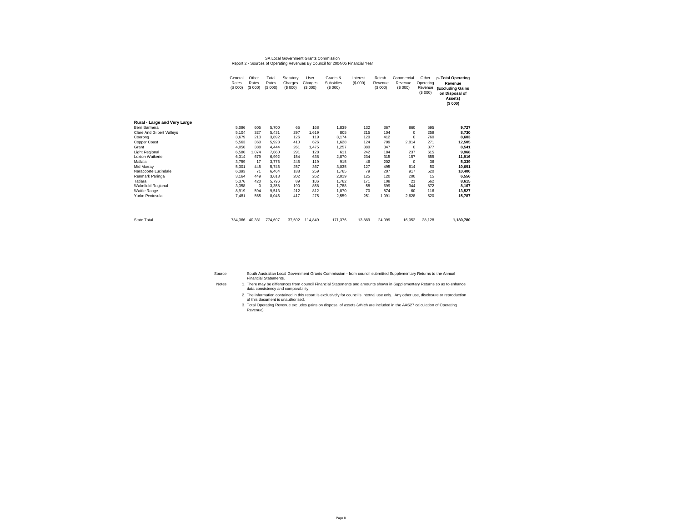### SA Local Government Grants Commission Report 2 - Sources of Operating Revenues By Council for 2004/05 Financial Year

|                              | General<br>Rates<br>(S 000) | Other<br>Rates<br>(S 000) | Total<br>Rates<br>(S 000) | Statutory<br>Charges<br>(S 000) | User<br>Charges<br>(S 000) | Grants &<br>Subsidies<br>(S 000) | Interest<br>(S 000) | Reimb.<br>Revenue<br>(S 000) | Commercial<br>Revenue<br>(S 000) | Other<br>Operating<br>Revenue<br>(S 000) | (3) Total Operating<br>Revenue<br>(Excluding Gains<br>on Disposal of<br>Assets)<br>(\$ 000) |
|------------------------------|-----------------------------|---------------------------|---------------------------|---------------------------------|----------------------------|----------------------------------|---------------------|------------------------------|----------------------------------|------------------------------------------|---------------------------------------------------------------------------------------------|
| Rural - Large and Very Large |                             |                           |                           |                                 |                            |                                  |                     |                              |                                  |                                          |                                                                                             |
| Berri Barmera                | 5.096                       | 605                       | 5.700                     | 65                              | 168                        | 1,839                            | 132                 | 367                          | 860                              | 595                                      | 9,727                                                                                       |
| Clare And Gilbert Valleys    | 5.104                       | 327                       | 5,431                     | 297                             | 1.619                      | 805                              | 215                 | 104                          | $\mathbf 0$                      | 259                                      | 8,730                                                                                       |
| Coorong                      | 3.679                       | 213                       | 3.892                     | 126                             | 119                        | 3.174                            | 120                 | 412                          | $\Omega$                         | 760                                      | 8,603                                                                                       |
| Copper Coast                 | 5,563                       | 360                       | 5,923                     | 410                             | 626                        | 1.628                            | 124                 | 709                          | 2,814                            | 271                                      | 12,505                                                                                      |
| Grant                        | 4.056                       | 388                       | 4.444                     | 261                             | 1.475                      | 1.257                            | 380                 | 347                          | $\mathbf 0$                      | 377                                      | 8.541                                                                                       |
| <b>Light Regional</b>        | 6,586                       | 1.074                     | 7,660                     | 291                             | 128                        | 611                              | 242                 | 184                          | 237                              | 615                                      | 9,968                                                                                       |
| Loxton Waikerie              | 6,314                       | 679                       | 6,992                     | 154                             | 638                        | 2,870                            | 234                 | 315                          | 157                              | 555                                      | 11,916                                                                                      |
| Mallala                      | 3.759                       | 17                        | 3.776                     | 245                             | 119                        | 915                              | 46                  | 202                          | $^{\circ}$                       | 36                                       | 5,339                                                                                       |
| Mid Murrav                   | 5,301                       | 445                       | 5.746                     | 257                             | 367                        | 3,035                            | 127                 | 495                          | 614                              | 50                                       | 10,691                                                                                      |
| Naracoorte Lucindale         | 6.393                       | 71                        | 6.464                     | 188                             | 259                        | 1.765                            | 79                  | 207                          | 917                              | 520                                      | 10,400                                                                                      |
| Renmark Paringa              | 3.164                       | 449                       | 3.613                     | 202                             | 262                        | 2,019                            | 125                 | 120                          | 200                              | 15                                       | 6,556                                                                                       |
| Tatiara                      | 5.376                       | 420                       | 5.796                     | 89                              | 106                        | 1.762                            | 171                 | 108                          | 21                               | 562                                      | 8.615                                                                                       |
| <b>Wakefield Regional</b>    | 3.358                       | $\mathbf 0$               | 3.358                     | 190                             | 858                        | 1.788                            | 58                  | 699                          | 344                              | 872                                      | 8,167                                                                                       |
| Wattle Range                 | 8.919                       | 594                       | 9.513                     | 212                             | 812                        | 1.870                            | 70                  | 874                          | 60                               | 116                                      | 13,527                                                                                      |
| Yorke Peninsula              | 7.481                       | 565                       | 8.046                     | 417                             | 275                        | 2.559                            | 251                 | 1.091                        | 2.628                            | 520                                      | 15,787                                                                                      |
|                              |                             |                           |                           |                                 |                            |                                  |                     |                              |                                  |                                          |                                                                                             |
| <b>State Total</b>           | 734.366 40.331              |                           | 774.697                   | 37.692                          | 114,849                    | 171.376                          | 13.889              | 24.099                       | 16.052                           | 28.128                                   | 1,180,780                                                                                   |

SourceSouth Australian Local Government Grants Commission - from council submitted Supplementary Returns to the Annual Financial Statements.

There may be differences from council Financial Statements and amounts shown in Supplementary Returns so as to enhance data consistency and comparability.

Notes

- 2. The information contained in this report is exclusively for council's internal use only. Any other use, disclosure or reproduction of this document is unauthorised.<br>3. Total Operating Revenue excludes gains on disposal of assets (which are included in the AAS27 calculation of Operating
- Revenue)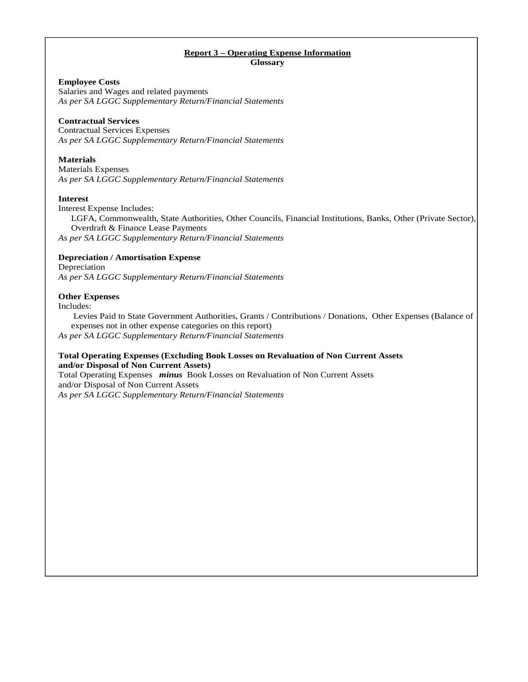# **Report 3 – Operating Expense Information**

**Glossary** 

## **Employee Costs**

Salaries and Wages and related payments *As per SA LGGC Supplementary Return/Financial Statements*

## **Contractual Services**

Contractual Services Expenses *As per SA LGGC Supplementary Return/Financial Statements* 

## **Materials**

Materials Expenses *As per SA LGGC Supplementary Return/Financial Statements* 

## **Interest**

Interest Expense Includes:

LGFA, Commonwealth, State Authorities, Other Councils, Financial Institutions, Banks, Other (Private Sector), Overdraft & Finance Lease Payments

*As per SA LGGC Supplementary Return/Financial Statements*

## **Depreciation / Amortisation Expense**

Depreciation *As per SA LGGC Supplementary Return/Financial Statements*

## **Other Expenses**

Includes:

 Levies Paid to State Government Authorities, Grants / Contributions / Donations, Other Expenses (Balance of expenses not in other expense categories on this report)

*As per SA LGGC Supplementary Return/Financial Statements* 

## **Total Operating Expenses (Excluding Book Losses on Revaluation of Non Current Assets and/or Disposal of Non Current Assets)**

Total Operating Expenses *minus* Book Losses on Revaluation of Non Current Assets and/or Disposal of Non Current Assets *As per SA LGGC Supplementary Return/Financial Statements*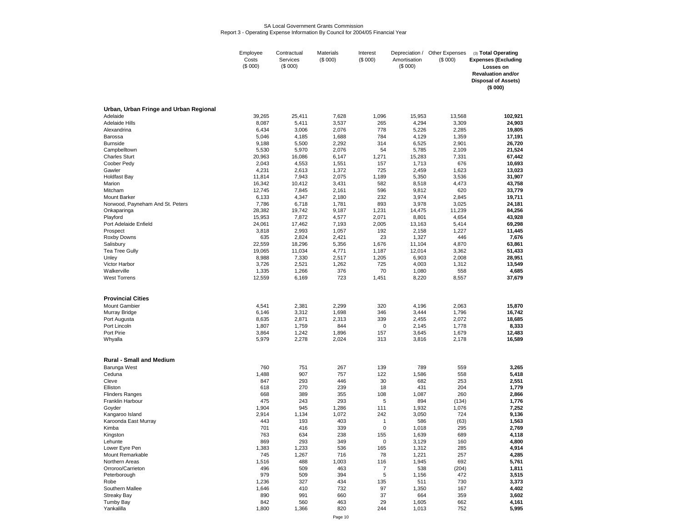#### SA Local Government Grants CommissionReport 3 - Operating Expense Information By Council for 2004/05 Financial Year

|                                        | Employee<br>Costs<br>(\$000) | Contractual<br>Services<br>(\$000) | Materials<br>(\$000) | Interest<br>(\$000) | Depreciation /<br>Amortisation<br>(\$000) | Other Expenses<br>(\$000) | (3) Total Operating<br><b>Expenses (Excluding</b><br>Losses on<br><b>Revaluation and/or</b><br><b>Disposal of Assets)</b> |
|----------------------------------------|------------------------------|------------------------------------|----------------------|---------------------|-------------------------------------------|---------------------------|---------------------------------------------------------------------------------------------------------------------------|
|                                        |                              |                                    |                      |                     |                                           |                           | (\$000)                                                                                                                   |
| Urban, Urban Fringe and Urban Regional |                              |                                    |                      |                     |                                           |                           |                                                                                                                           |
| Adelaide<br>Adelaide Hills             | 39,265<br>8,087              | 25,411<br>5,411                    | 7,628<br>3,537       | 1,096<br>265        | 15,953<br>4,294                           | 13,568<br>3,309           | 102,921<br>24,903                                                                                                         |
| Alexandrina                            | 6,434                        | 3,006                              | 2,076                | 778                 | 5,226                                     | 2,285                     | 19,805                                                                                                                    |
| Barossa                                | 5,046                        | 4,185                              | 1,688                | 784                 | 4,129                                     | 1,359                     | 17,191                                                                                                                    |
| Burnside                               | 9,188                        | 5,500                              | 2,292                | 314                 | 6,525                                     | 2,901                     | 26,720                                                                                                                    |
| Campbelltown                           | 5,530                        | 5,970                              | 2,076                | 54                  | 5,785                                     | 2,109                     | 21,524                                                                                                                    |
| <b>Charles Sturt</b>                   | 20,963                       | 16,086                             | 6,147                | 1,271               | 15,283                                    | 7,331<br>676              | 67,442                                                                                                                    |
| Coober Pedy<br>Gawler                  | 2,043<br>4,231               | 4,553<br>2,613                     | 1,551<br>1,372       | 157<br>725          | 1,713<br>2,459                            | 1,623                     | 10,693<br>13,023                                                                                                          |
| Holdfast Bay                           | 11,814                       | 7,943                              | 2,075                | 1,189               | 5,350                                     | 3,536                     | 31,907                                                                                                                    |
| Marion                                 | 16,342                       | 10,412                             | 3,431                | 582                 | 8,518                                     | 4,473                     | 43,758                                                                                                                    |
| Mitcham                                | 12,745                       | 7,845                              | 2,161                | 596                 | 9,812                                     | 620                       | 33,779                                                                                                                    |
| <b>Mount Barker</b>                    | 6,133                        | 4,347                              | 2,180                | 232                 | 3,974                                     | 2,845                     | 19,711                                                                                                                    |
| Norwood, Payneham And St. Peters       | 7,786                        | 6,718                              | 1,781                | 893                 | 3,978                                     | 3,025                     | 24,181                                                                                                                    |
| Onkaparinga<br>Playford                | 28,382<br>15,953             | 19,742<br>7,872                    | 9,187<br>4,577       | 1,231<br>2,071      | 14,475<br>8,801                           | 11,239<br>4,654           | 84,256<br>43,928                                                                                                          |
| Port Adelaide Enfield                  | 24,061                       | 17,462                             | 7,193                | 2,005               | 13,163                                    | 5,414                     | 69,298                                                                                                                    |
| Prospect                               | 3,818                        | 2,993                              | 1,057                | 192                 | 2,158                                     | 1,227                     | 11,445                                                                                                                    |
| Roxby Downs                            | 635                          | 2,824                              | 2,421                | 23                  | 1,327                                     | 446                       | 7,676                                                                                                                     |
| Salisbury                              | 22,559                       | 18,296                             | 5,356                | 1,676               | 11,104                                    | 4,870                     | 63,861                                                                                                                    |
| Tea Tree Gully                         | 19,065                       | 11,034                             | 4,771                | 1,187               | 12,014                                    | 3,362                     | 51,433                                                                                                                    |
| Unley<br>Victor Harbor                 | 8,988<br>3,726               | 7,330<br>2,521                     | 2,517<br>1,262       | 1,205<br>725        | 6,903<br>4,003                            | 2,008<br>1,312            | 28,951<br>13,549                                                                                                          |
| Walkerville                            | 1,335                        | 1,266                              | 376                  | 70                  | 1,080                                     | 558                       | 4,685                                                                                                                     |
| <b>West Torrens</b>                    | 12,559                       | 6,169                              | 723                  | 1,451               | 8,220                                     | 8,557                     | 37,679                                                                                                                    |
| <b>Provincial Cities</b>               |                              |                                    |                      |                     |                                           |                           |                                                                                                                           |
| <b>Mount Gambier</b>                   | 4,541                        | 2,381                              | 2,299                | 320                 | 4,196                                     | 2,063                     | 15,870                                                                                                                    |
| Murray Bridge                          | 6,146                        | 3,312                              | 1,698                | 346                 | 3,444                                     | 1,796                     | 16,742                                                                                                                    |
| Port Augusta<br>Port Lincoln           | 8,635                        | 2,871                              | 2,313<br>844         | 339<br>0            | 2,455                                     | 2,072                     | 18,685                                                                                                                    |
| Port Pirie                             | 1,807<br>3,864               | 1,759<br>1,242                     | 1,896                | 157                 | 2,145<br>3,645                            | 1,778<br>1,679            | 8,333<br>12,483                                                                                                           |
| Whyalla                                | 5,979                        | 2,278                              | 2,024                | 313                 | 3,816                                     | 2,178                     | 16,589                                                                                                                    |
| <b>Rural - Small and Medium</b>        |                              |                                    |                      |                     |                                           |                           |                                                                                                                           |
| Barunga West                           | 760                          | 751                                | 267                  | 139                 | 789                                       | 559                       | 3,265                                                                                                                     |
| Ceduna                                 | 1,488                        | 907                                | 757                  | 122                 | 1,586                                     | 558                       | 5,418                                                                                                                     |
| Cleve                                  | 847                          | 293                                | 446                  | 30                  | 682                                       | 253                       | 2,551                                                                                                                     |
| Elliston<br>Flinders Ranges            | 618<br>668                   | 270<br>389                         | 239<br>355           | 18<br>108           | 431<br>1,087                              | 204<br>260                | 1,779<br>2,866                                                                                                            |
| Franklin Harbour                       | 475                          | 243                                | 293                  | 5                   | 894                                       | (134)                     | 1,776                                                                                                                     |
| Goyder                                 | 1,904                        | 945                                | 1,286                | 111                 | 1,932                                     | 1,076                     | 7,252                                                                                                                     |
| Kangaroo Island                        | 2,914                        | 1,134                              | 1,072                | 242                 | 3,050                                     | 724                       | 9,136                                                                                                                     |
| Karoonda East Murray                   | 443                          | 193                                | 403                  | $\mathbf{1}$        | 586                                       | (63)                      | 1,563                                                                                                                     |
| Kimba                                  | 701                          | 416                                | 339                  | $\mathbf 0$         | 1,018                                     | 295                       | 2,769                                                                                                                     |
| Kingston<br>Lehunte                    | 763<br>869                   | 634<br>293                         | 238<br>349           | 155<br>$\pmb{0}$    | 1,639<br>3,129                            | 689<br>160                | 4,118<br>4,800                                                                                                            |
| Lower Eyre Pen                         | 1,383                        | 1,233                              | 536                  | 165                 | 1,312                                     | 285                       | 4,914                                                                                                                     |
| Mount Remarkable                       | 745                          | 1,267                              | 716                  | 78                  | 1,221                                     | 257                       | 4,285                                                                                                                     |
| Northern Areas                         | 1,516                        | 488                                | 1,003                | 116                 | 1,945                                     | 692                       | 5,761                                                                                                                     |
| Orroroo/Carrieton                      | 496                          | 509                                | 463                  | 7                   | 538                                       | (204)                     | 1,811                                                                                                                     |
| Peterborough                           | 979                          | 509                                | 394                  | 5                   | 1,156                                     | 472                       | 3,515                                                                                                                     |
| Robe<br>Southern Mallee                | 1,236<br>1,646               | 327<br>410                         | 434<br>732           | 135<br>97           | 511<br>1,350                              | 730<br>167                | 3,373<br>4,402                                                                                                            |
| Streaky Bay                            | 890                          | 991                                | 660                  | 37                  | 664                                       | 359                       | 3,602                                                                                                                     |
| <b>Tumby Bay</b>                       | 842                          | 560                                | 463                  | 29                  | 1,605                                     | 662                       | 4,161                                                                                                                     |
| Yankalilla                             | 1,800                        | 1,366                              | 820                  | 244                 | 1,013                                     | 752                       | 5,995                                                                                                                     |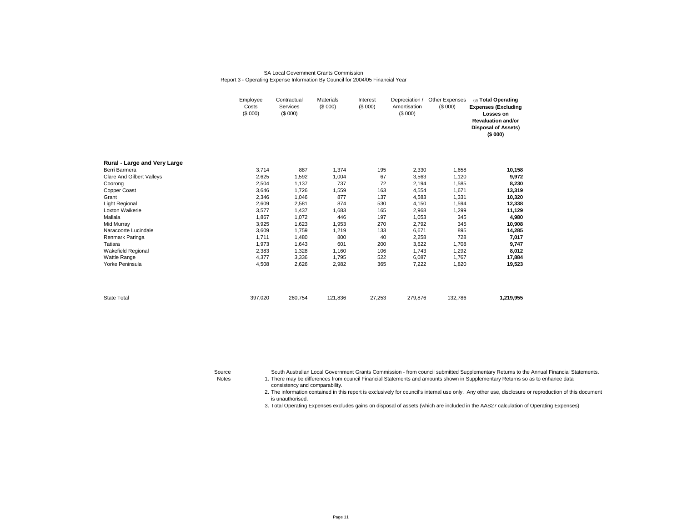#### SA Local Government Grants CommissionReport 3 - Operating Expense Information By Council for 2004/05 Financial Year

|                                  | Employee<br>Costs<br>(\$000) | <b>Materials</b><br>Contractual<br>(\$000)<br>Services<br>(\$000) |         | Interest<br>(\$000) | Depreciation /<br>Amortisation<br>(\$000) | Other Expenses<br>(\$000) | (3) Total Operating<br><b>Expenses (Excluding</b><br>Losses on<br><b>Revaluation and/or</b><br><b>Disposal of Assets)</b><br>(\$000) |
|----------------------------------|------------------------------|-------------------------------------------------------------------|---------|---------------------|-------------------------------------------|---------------------------|--------------------------------------------------------------------------------------------------------------------------------------|
| Rural - Large and Very Large     |                              |                                                                   |         |                     |                                           |                           |                                                                                                                                      |
| Berri Barmera                    | 3,714                        | 887                                                               | 1,374   | 195                 | 2,330                                     | 1,658                     | 10,158                                                                                                                               |
| <b>Clare And Gilbert Valleys</b> | 2,625                        | 1,592                                                             | 1,004   | 67                  | 3,563                                     | 1,120                     | 9,972                                                                                                                                |
| Coorong                          | 2,504                        | 1,137                                                             | 737     | 72                  | 2,194                                     | 1,585                     | 8,230                                                                                                                                |
| Copper Coast                     | 3,646                        | 1,726                                                             | 1,559   | 163                 | 4,554                                     | 1,671                     | 13,319                                                                                                                               |
| Grant                            | 2,346                        | 1,046                                                             | 877     | 137                 | 4,583                                     | 1,331                     | 10,320                                                                                                                               |
| Light Regional                   | 2,609                        | 2,581                                                             | 874     | 530                 | 4,150                                     | 1,594                     | 12,338                                                                                                                               |
| Loxton Waikerie                  | 3,577                        | 1,437                                                             | 1,683   | 165                 | 2,968                                     | 1,299                     | 11,129                                                                                                                               |
| Mallala                          | 1,867                        | 1,072                                                             | 446     | 197                 | 1,053                                     | 345                       | 4,980                                                                                                                                |
| Mid Murray                       | 3,925                        | 1,623                                                             | 1,953   | 270                 | 2,792                                     | 345                       | 10,908                                                                                                                               |
| Naracoorte Lucindale             | 3,609                        | 1,759                                                             | 1,219   | 133                 | 6,671                                     | 895                       | 14,285                                                                                                                               |
| Renmark Paringa                  | 1.711                        | 1,480                                                             | 800     | 40                  | 2,258                                     | 728                       | 7,017                                                                                                                                |
| Tatiara                          | 1,973                        | 1,643                                                             | 601     | 200                 | 3,622                                     | 1,708                     | 9,747                                                                                                                                |
| Wakefield Regional               | 2,383                        | 1,328                                                             | 1,160   | 106                 | 1,743                                     | 1,292                     | 8,012                                                                                                                                |
| <b>Wattle Range</b>              | 4.377                        | 3,336                                                             | 1,795   | 522                 | 6,087                                     | 1.767                     | 17,884                                                                                                                               |
| Yorke Peninsula                  | 4,508                        | 2,626                                                             | 2,982   | 365                 | 7,222                                     | 1,820                     | 19,523                                                                                                                               |
|                                  |                              |                                                                   |         |                     |                                           |                           |                                                                                                                                      |
| <b>State Total</b>               | 397,020                      | 260,754                                                           | 121,836 | 27,253              | 279,876                                   | 132,786                   | 1,219,955                                                                                                                            |

Source

South Australian Local Government Grants Commission - from council submitted Supplementary Returns to the Annual Financial Statements.

Notes 1. There may be differences from council Financial Statements and amounts shown in Supplementary Returns so as to enhance data consistency and comparability.

> 2. The information contained in this report is exclusively for council's internal use only. Any other use, disclosure or reproduction of this document is unauthorised.

3. Total Operating Expenses excludes gains on disposal of assets (which are included in the AAS27 calculation of Operating Expenses)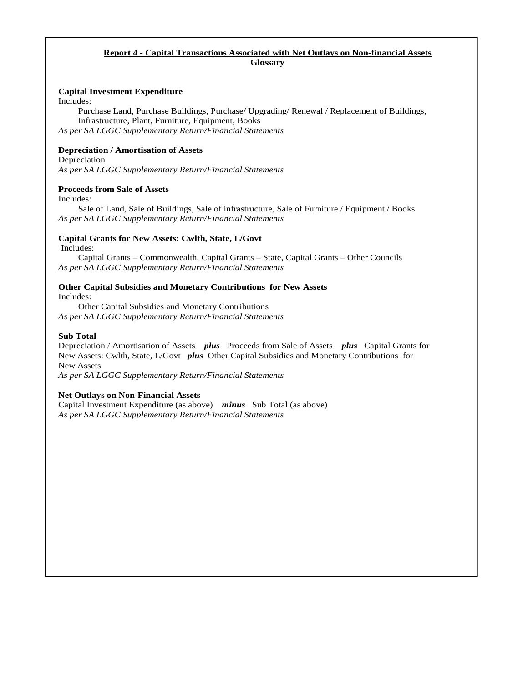## **Report 4 - Capital Transactions Associated with Net Outlays on Non-financial Assets Glossary**

## **Capital Investment Expenditure**

Includes:

Purchase Land, Purchase Buildings, Purchase/ Upgrading/ Renewal / Replacement of Buildings, Infrastructure, Plant, Furniture, Equipment, Books *As per SA LGGC Supplementary Return/Financial Statements*

## **Depreciation / Amortisation of Assets**

Depreciation *As per SA LGGC Supplementary Return/Financial Statements*

## **Proceeds from Sale of Assets**

Includes:

Sale of Land, Sale of Buildings, Sale of infrastructure, Sale of Furniture / Equipment / Books *As per SA LGGC Supplementary Return/Financial Statements* 

## **Capital Grants for New Assets: Cwlth, State, L/Govt**

Includes:

Capital Grants – Commonwealth, Capital Grants – State, Capital Grants – Other Councils *As per SA LGGC Supplementary Return/Financial Statements* 

## **Other Capital Subsidies and Monetary Contributions for New Assets**

Includes:

 Other Capital Subsidies and Monetary Contributions *As per SA LGGC Supplementary Return/Financial Statements* 

## **Sub Total**

Depreciation / Amortisation of Assets *plus* Proceeds from Sale of Assets *plus* Capital Grants for New Assets: Cwlth, State, L/Govt *plus* Other Capital Subsidies and Monetary Contributions for New Assets

*As per SA LGGC Supplementary Return/Financial Statements* 

## **Net Outlays on Non-Financial Assets**

Capital Investment Expenditure (as above) *minus* Sub Total (as above) *As per SA LGGC Supplementary Return/Financial Statements*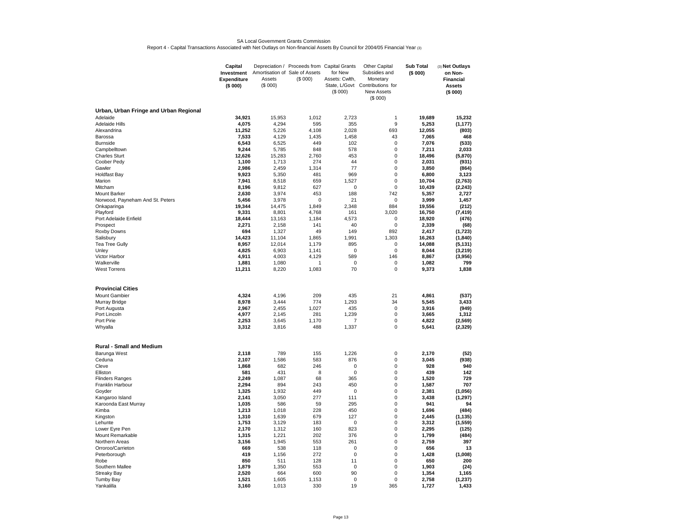#### SA Local Government Grants CommissionReport 4 - Capital Transactions Associated with Net Outlays on Non-financial Assets By Council for 2004/05 Financial Year (3)

|                                                    | Capital                          |                                          | Depreciation / Proceeds from Capital Grants |                           | <b>Other Capital</b>            | <b>Sub Total</b> | (3) Net Outlays             |
|----------------------------------------------------|----------------------------------|------------------------------------------|---------------------------------------------|---------------------------|---------------------------------|------------------|-----------------------------|
|                                                    | Investment<br><b>Expenditure</b> | Amortisation of Sale of Assets<br>Assets | (S 000)                                     | for New<br>Assets: Cwlth, | Subsidies and<br>Monetary       | (\$000)          | on Non-<br><b>Financial</b> |
|                                                    | (\$000)                          | (\$000)                                  |                                             |                           | State, L/Govt Contributions for |                  | <b>Assets</b>               |
|                                                    |                                  |                                          |                                             | (S 000)                   | <b>New Assets</b>               |                  | (\$000)                     |
|                                                    |                                  |                                          |                                             |                           | (\$000)                         |                  |                             |
|                                                    |                                  |                                          |                                             |                           |                                 |                  |                             |
| Urban, Urban Fringe and Urban Regional<br>Adelaide | 34,921                           | 15,953                                   | 1,012                                       | 2,723                     | 1                               | 19,689           | 15,232                      |
| <b>Adelaide Hills</b>                              | 4,075                            | 4,294                                    | 595                                         | 355                       | 9                               | 5,253            | (1, 177)                    |
| Alexandrina                                        | 11,252                           | 5,226                                    | 4,108                                       | 2,028                     | 693                             | 12,055           | (803)                       |
| Barossa                                            | 7,533                            | 4,129                                    | 1,435                                       | 1,458                     | 43                              | 7,065            | 468                         |
| <b>Burnside</b>                                    | 6,543                            | 6,525                                    | 449                                         | 102                       | 0                               | 7,076            | (533)                       |
| Campbelltown                                       | 9,244                            | 5,785                                    | 848                                         | 578                       | $\mathbf 0$                     | 7,211            | 2,033                       |
| <b>Charles Sturt</b>                               | 12,626                           | 15,283                                   | 2,760                                       | 453                       | 0                               | 18,496           | (5, 870)                    |
| Coober Pedy                                        | 1,100<br>2,986                   | 1,713<br>2,459                           | 274<br>1,314                                | 44<br>77                  | 0<br>0                          | 2,031<br>3,850   | (931)                       |
| Gawler<br><b>Holdfast Bay</b>                      | 9,923                            | 5,350                                    | 481                                         | 969                       | 0                               | 6,800            | (864)<br>3,123              |
| Marion                                             | 7,941                            | 8,518                                    | 659                                         | 1,527                     | 0                               | 10,704           | (2,763)                     |
| Mitcham                                            | 8,196                            | 9,812                                    | 627                                         | $\mathbf 0$               | 0                               | 10,439           | (2, 243)                    |
| <b>Mount Barker</b>                                | 2,630                            | 3,974                                    | 453                                         | 188                       | 742                             | 5,357            | 2,727                       |
| Norwood, Payneham And St. Peters                   | 5,456                            | 3,978                                    | 0                                           | 21                        | 0                               | 3,999            | 1,457                       |
| Onkaparinga                                        | 19,344                           | 14,475                                   | 1,849                                       | 2,348                     | 884                             | 19,556           | (212)                       |
| Playford                                           | 9,331                            | 8,801                                    | 4,768                                       | 161                       | 3,020                           | 16,750           | (7, 419)                    |
| Port Adelaide Enfield                              | 18,444                           | 13,163                                   | 1,184                                       | 4,573                     | 0                               | 18,920           | (476)                       |
| Prospect                                           | 2,271<br>694                     | 2,158                                    | 141<br>49                                   | 40<br>149                 | 0<br>892                        | 2,339            | (68)                        |
| Roxby Downs<br>Salisbury                           | 14,423                           | 1,327<br>11,104                          | 1,865                                       | 1,991                     | 1,303                           | 2,417<br>16,263  | (1,723)<br>(1, 840)         |
| Tea Tree Gully                                     | 8.957                            | 12,014                                   | 1,179                                       | 895                       | 0                               | 14.088           | (5, 131)                    |
| Unley                                              | 4,825                            | 6,903                                    | 1,141                                       | $\mathbf 0$               | 0                               | 8,044            | (3, 219)                    |
| Victor Harbor                                      | 4,911                            | 4,003                                    | 4,129                                       | 589                       | 146                             | 8,867            | (3,956)                     |
| Walkerville                                        | 1,881                            | 1,080                                    | $\mathbf{1}$                                | $\mathbf 0$               | 0                               | 1,082            | 799                         |
| <b>West Torrens</b>                                | 11,211                           | 8,220                                    | 1,083                                       | 70                        | 0                               | 9,373            | 1,838                       |
| <b>Provincial Cities</b>                           |                                  |                                          |                                             |                           |                                 |                  |                             |
| <b>Mount Gambier</b>                               | 4,324                            | 4,196                                    | 209                                         | 435                       | 21                              | 4,861            | (537)                       |
| Murray Bridge                                      | 8,978                            | 3,444                                    | 774                                         | 1,293                     | 34                              | 5,545            | 3,433                       |
| Port Augusta                                       | 2,967                            | 2,455                                    | 1.027                                       | 435                       | 0                               | 3,916            | (949)                       |
| Port Lincoln                                       | 4,977                            | 2,145                                    | 281                                         | 1,239                     | $\mathbf 0$                     | 3,665            | 1,312                       |
| Port Pirie                                         | 2,253                            | 3,645                                    | 1,170<br>488                                | 7                         | 0<br>0                          | 4,822            | (2, 569)                    |
| Whyalla                                            | 3,312                            | 3,816                                    |                                             | 1,337                     |                                 | 5,641            | (2, 329)                    |
| <b>Rural - Small and Medium</b>                    |                                  |                                          |                                             |                           |                                 |                  |                             |
| Barunga West                                       | 2,118                            | 789                                      | 155                                         | 1,226                     | 0                               | 2,170            | (52)                        |
| Ceduna<br>Cleve                                    | 2,107<br>1,868                   | 1,586<br>682                             | 583<br>246                                  | 876<br>0                  | 0<br>0                          | 3,045<br>928     | (938)<br>940                |
| Elliston                                           | 581                              | 431                                      | 8                                           | $\mathbf 0$               | 0                               | 439              | 142                         |
| <b>Flinders Ranges</b>                             | 2,249                            | 1,087                                    | 68                                          | 365                       | 0                               | 1,520            | 729                         |
| Franklin Harbour                                   | 2,294                            | 894                                      | 243                                         | 450                       | 0                               | 1,587            | 707                         |
| Goyder                                             | 1,325                            | 1,932                                    | 449                                         | $\mathbf 0$               | 0                               | 2,381            | (1,056)                     |
| Kangaroo Island                                    | 2,141                            | 3,050                                    | 277                                         | 111                       | 0                               | 3,438            | (1, 297)                    |
| Karoonda East Murray                               | 1,035                            | 586                                      | 59                                          | 295                       | 0                               | 941              | 94                          |
| Kimba                                              | 1,213                            | 1,018                                    | 228                                         | 450                       | 0                               | 1,696            | (484)                       |
| Kingston                                           | 1,310                            | 1,639                                    | 679                                         | 127                       | 0                               | 2,445            | (1, 135)                    |
| Lehunte<br>Lower Eyre Pen                          | 1,753<br>2,170                   | 3,129<br>1,312                           | 183<br>160                                  | 0<br>823                  | 0<br>0                          | 3,312<br>2,295   | (1,559)<br>(125)            |
| Mount Remarkable                                   | 1,315                            | 1,221                                    | 202                                         | 376                       | 0                               | 1,799            | (484)                       |
| Northern Areas                                     | 3,156                            | 1,945                                    | 553                                         | 261                       | 0                               | 2,759            | 397                         |
| Orroroo/Carrieton                                  | 669                              | 538                                      | 118                                         | $\mathbf 0$               | 0                               | 656              | 13                          |
| Peterborough                                       | 419                              | 1,156                                    | 272                                         | 0                         | 0                               | 1,428            | (1,008)                     |
| Robe                                               | 850                              | 511                                      | 128                                         | 11                        | 0                               | 650              | 200                         |
| Southern Mallee                                    | 1,879                            | 1,350                                    | 553                                         | 0                         | 0                               | 1,903            | (24)                        |
| <b>Streaky Bay</b>                                 | 2.520                            | 664                                      | 600                                         | 90                        | 0                               | 1,354            | 1,165                       |
| <b>Tumby Bay</b><br>Yankalilla                     | 1,521<br>3,160                   | 1,605<br>1,013                           | 1,153<br>330                                | $\mathbf 0$<br>19         | 0<br>365                        | 2,758<br>1,727   | (1, 237)<br>1,433           |
|                                                    |                                  |                                          |                                             |                           |                                 |                  |                             |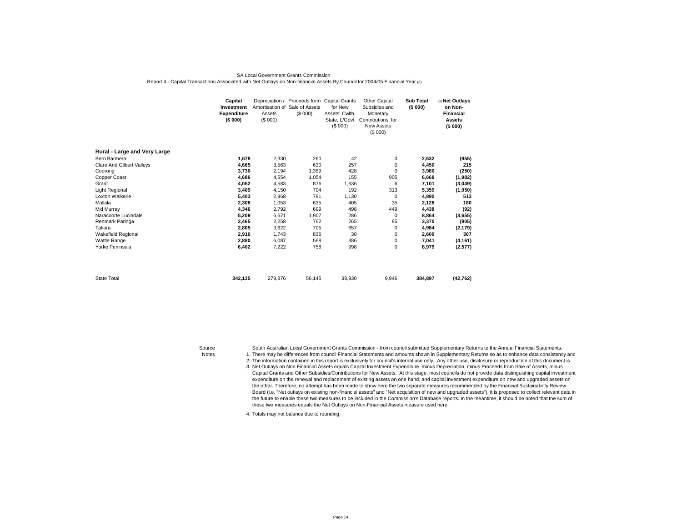#### SA Local Government Grants CommissionReport 4 - Capital Transactions Associated with Net Outlays on Non-financial Assets By Council for 2004/05 Financial Year (3)

|                                  | Capital<br>Investment<br><b>Expenditure</b><br>(\$000) | Amortisation of Sale of Assets<br>Assets<br>(\$000) | Depreciation / Proceeds from Capital Grants<br>(\$000) | for New<br>Assets: Cwlth,<br>(S 000) | Other Capital<br>Subsidies and<br>Monetary<br>State, L/Govt Contributions for<br><b>New Assets</b><br>(\$000) | <b>Sub Total</b><br>(\$000) | (3) Net Outlays<br>on Non-<br>Financial<br><b>Assets</b><br>(\$000) |  |
|----------------------------------|--------------------------------------------------------|-----------------------------------------------------|--------------------------------------------------------|--------------------------------------|---------------------------------------------------------------------------------------------------------------|-----------------------------|---------------------------------------------------------------------|--|
| Rural - Large and Very Large     |                                                        |                                                     |                                                        |                                      |                                                                                                               |                             |                                                                     |  |
| Berri Barmera                    | 1,678                                                  | 2,330                                               | 260                                                    | 42                                   | 0                                                                                                             | 2,632                       | (955)                                                               |  |
| <b>Clare And Gilbert Valleys</b> | 4,665                                                  | 3,563                                               | 630                                                    | 257                                  | 0                                                                                                             | 4,450                       | 215                                                                 |  |
| Coorong                          | 3,730                                                  | 2,194                                               | 1,359                                                  | 428                                  | 0                                                                                                             | 3,980                       | (250)                                                               |  |
| Copper Coast                     | 4,686                                                  | 4,554                                               | 1,054                                                  | 155                                  | 905                                                                                                           | 6,668                       | (1,982)                                                             |  |
| Grant                            | 4,052                                                  | 4,583                                               | 876                                                    | 1,636                                | 6                                                                                                             | 7,101                       | (3,049)                                                             |  |
| Light Regional                   | 3,409                                                  | 4,150                                               | 704                                                    | 192                                  | 313                                                                                                           | 5,359                       | (1,950)                                                             |  |
| Loxton Waikerie                  | 5,403                                                  | 2,968                                               | 791                                                    | 1,130                                | 0                                                                                                             | 4,890                       | 513                                                                 |  |
| Mallala                          | 2,308                                                  | 1,053                                               | 635                                                    | 405                                  | 35                                                                                                            | 2,128                       | 180                                                                 |  |
| Mid Murray                       | 4,346                                                  | 2,792                                               | 699                                                    | 498                                  | 449                                                                                                           | 4,438                       | (92)                                                                |  |
| Naracoorte Lucindale             | 5,209                                                  | 6,671                                               | 1,907                                                  | 286                                  | 0                                                                                                             | 8,864                       | (3,655)                                                             |  |
| Renmark Paringa                  | 2,465                                                  | 2,258                                               | 762                                                    | 265                                  | 85                                                                                                            | 3,370                       | (905)                                                               |  |
| Tatiara                          | 2,805                                                  | 3,622                                               | 705                                                    | 657                                  | 0                                                                                                             | 4,984                       | (2, 179)                                                            |  |
| Wakefield Regional               | 2,916                                                  | 1,743                                               | 836                                                    | 30                                   | 0                                                                                                             | 2,609                       | 307                                                                 |  |
| <b>Wattle Range</b>              | 2,880                                                  | 6.087                                               | 568                                                    | 386                                  | 0                                                                                                             | 7,041                       | (4, 161)                                                            |  |
| Yorke Peninsula                  | 6,402                                                  | 7,222                                               | 758                                                    | 998                                  | 0                                                                                                             | 8,979                       | (2,577)                                                             |  |
| <b>State Total</b>               | 342,135                                                | 279.876                                             | 56,145                                                 | 38,930                               | 9,946                                                                                                         | 384,897                     | (42, 762)                                                           |  |

Source

South Australian Local Government Grants Commission - from council submitted Supplementary Returns to the Annual Financial Statements.

Notes 1. There may be differences from council Financial Statements and amounts shown in Supplementary Returns so as to enhance data consistency and

2. The information contained in this report is exclusively for council's internal use only. Any other use, disclosure or reproduction of this document is

 3.Net Outlays on Non Financial Assets equals Capital Investment Expenditure, minus Depreciation, minus Proceeds from Sale of Assets, minus Capital Grants and Other Subsidies/Contributions for New Assets. At this stage, most councils do not provide data distinguishing capital investment expenditure on the renewal and replacement of existing assets on one hand, and capital investment expenditure on new and upgraded assets on the other. Therefore, no attempt has been made to show here the two separate measures recommended by the Financial Sustainability Review Board (i.e. "Net outlays on existing non-financial assets" and "Net acquisition of new and upgraded assets"). It is proposed to collect relevant data in the future to enable these two measures to be included in the Commission's Database reports. In the meantime, it should be noted that the sum of these two measures equals the Net Outlays on Non-Financial Assets measure used here.

4. Totals may not balance due to rounding.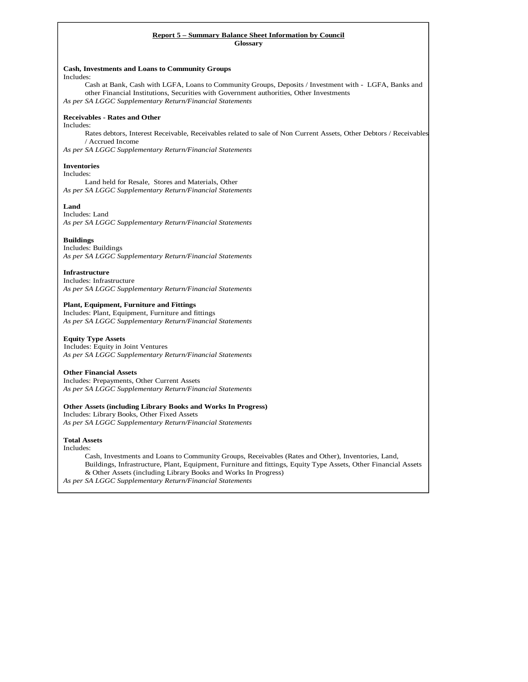#### **Report 5 – Summary Balance Sheet Information by Council Glossary**

## **Cash, Investments and Loans to Community Groups**

Includes:

Cash at Bank, Cash with LGFA, Loans to Community Groups, Deposits / Investment with - LGFA, Banks and other Financial Institutions, Securities with Government authorities, Other Investments *As per SA LGGC Supplementary Return/Financial Statements* 

### **Receivables - Rates and Other**

Includes: Rates debtors, Interest Receivable, Receivables related to sale of Non Current Assets, Other Debtors / Receivables / Accrued Income

*As per SA LGGC Supplementary Return/Financial Statements* 

### **Inventories**

#### Includes:

Land held for Resale, Stores and Materials, Other *As per SA LGGC Supplementary Return/Financial Statements* 

### **Land**

Includes: Land *As per SA LGGC Supplementary Return/Financial Statements* 

### **Buildings**

Includes: Buildings *As per SA LGGC Supplementary Return/Financial Statements* 

### **Infrastructure**

Includes: Infrastructure *As per SA LGGC Supplementary Return/Financial Statements* 

### **Plant, Equipment, Furniture and Fittings**

Includes: Plant, Equipment, Furniture and fittings *As per SA LGGC Supplementary Return/Financial Statements* 

### **Equity Type Assets**

 Includes: Equity in Joint Ventures *As per SA LGGC Supplementary Return/Financial Statements* 

### **Other Financial Assets**

Includes: Prepayments, Other Current Assets *As per SA LGGC Supplementary Return/Financial Statements* 

### **Other Assets (including Library Books and Works In Progress)**

Includes: Library Books, Other Fixed Assets *As per SA LGGC Supplementary Return/Financial Statements* 

### **Total Assets**

Includes:

Cash, Investments and Loans to Community Groups, Receivables (Rates and Other), Inventories, Land, Buildings, Infrastructure, Plant, Equipment, Furniture and fittings, Equity Type Assets, Other Financial Assets & Other Assets (including Library Books and Works In Progress)

*As per SA LGGC Supplementary Return/Financial Statements*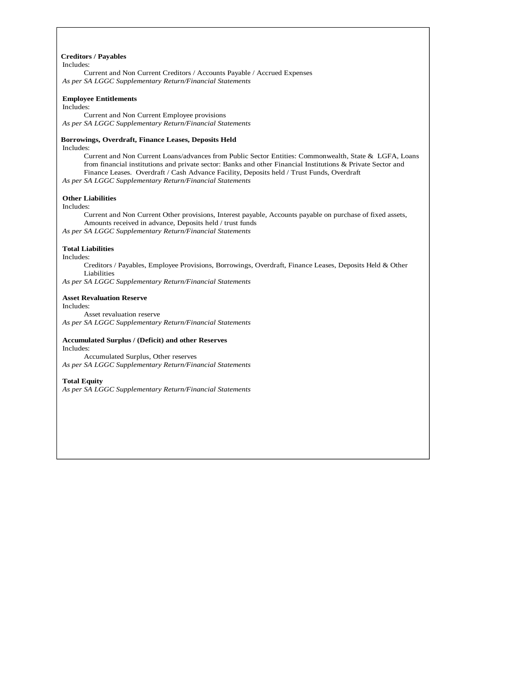#### **Creditors / Payables**

### Includes:

Current and Non Current Creditors / Accounts Payable / Accrued Expenses *As per SA LGGC Supplementary Return/Financial Statements* 

#### **Employee Entitlements**

Includes:

Current and Non Current Employee provisions *As per SA LGGC Supplementary Return/Financial Statements* 

### **Borrowings, Overdraft, Finance Leases, Deposits Held**

Includes:

Current and Non Current Loans/advances from Public Sector Entities: Commonwealth, State & LGFA, Loans from financial institutions and private sector: Banks and other Financial Institutions & Private Sector and Finance Leases. Overdraft / Cash Advance Facility, Deposits held / Trust Funds, Overdraft

*As per SA LGGC Supplementary Return/Financial Statements* 

### **Other Liabilities**

#### Includes:

Current and Non Current Other provisions, Interest payable, Accounts payable on purchase of fixed assets, Amounts received in advance, Deposits held / trust funds *As per SA LGGC Supplementary Return/Financial Statements* 

### **Total Liabilities**

Includes:

Creditors / Payables, Employee Provisions, Borrowings, Overdraft, Finance Leases, Deposits Held & Other Liabilities

*As per SA LGGC Supplementary Return/Financial Statements*

### **Asset Revaluation Reserve**

Includes:

Asset revaluation reserve

*As per SA LGGC Supplementary Return/Financial Statements* 

#### **Accumulated Surplus / (Deficit) and other Reserves**  Includes:

Accumulated Surplus, Other reserves

*As per SA LGGC Supplementary Return/Financial Statements* 

### **Total Equity**

*As per SA LGGC Supplementary Return/Financial Statements*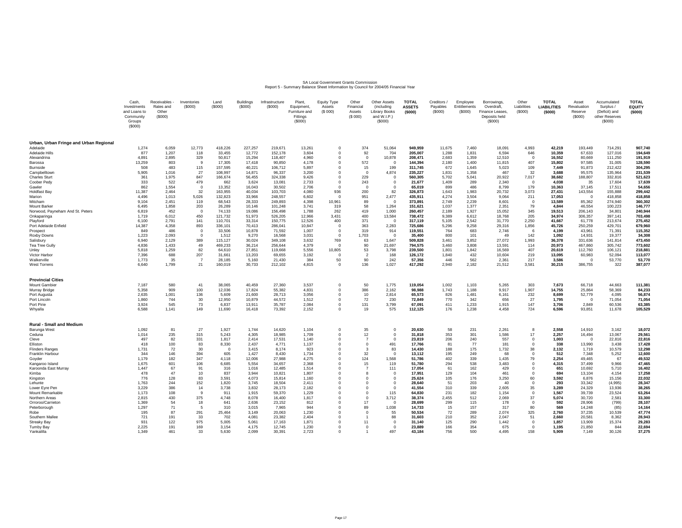#### Report 5 - Summary Balance Sheet Information by Council for 2004/05 Financial Year SA Local Government Grants Commission

|                                        | Cash.<br>Investments<br>and Loans to<br>Community<br>Groups<br>(\$000) | <b>Receivables</b><br>Rates and<br>Other<br>(S000) | Inventories<br>(S000)   | Land<br>(S000)     | <b>Buildings</b><br>(\$000) | Infrastructure<br>(S000) | Plant.<br>Equipment,<br>Furniture and<br>Fittings<br>(\$000) | <b>Equity Type</b><br>Assets<br>(S 000) | Other<br>Financial<br>Assets<br>(S 000) | <b>Other Assets</b><br>(including<br><b>Library Books</b><br>and W.I.P.)<br>(S000) | <b>TOTAL</b><br><b>ASSETS</b><br>(5000) | Creditors /<br>Payables<br>(\$000) | Employee<br>Entitlements<br>(S000) | Borrowings.<br>Overdraft.<br>Finance Leases<br>Deposits held<br>(S000) | Other<br>Liabilities<br>(\$000)  | <b>TOTAL</b><br><b>LIABILITIES</b><br>(\$000) | Asset<br>Revaluation<br>Reserve<br>(S000) | Accumulated<br>Surplus /<br>(Deficit) and<br>other Reserves<br>(S000) | <b>TOTAL</b><br><b>EQUITY</b><br>(5000) |
|----------------------------------------|------------------------------------------------------------------------|----------------------------------------------------|-------------------------|--------------------|-----------------------------|--------------------------|--------------------------------------------------------------|-----------------------------------------|-----------------------------------------|------------------------------------------------------------------------------------|-----------------------------------------|------------------------------------|------------------------------------|------------------------------------------------------------------------|----------------------------------|-----------------------------------------------|-------------------------------------------|-----------------------------------------------------------------------|-----------------------------------------|
| Urban, Urban Fringe and Urban Regional |                                                                        |                                                    |                         |                    |                             |                          |                                                              |                                         |                                         |                                                                                    |                                         |                                    |                                    |                                                                        |                                  |                                               |                                           |                                                                       |                                         |
| Adelaide<br>Adelaide Hills             | 1,274<br>877                                                           | 6,059<br>1.207                                     | 12,773<br>118           | 418,226<br>33.455  | 227,257<br>12,772           | 219,671<br>152.178       | 13,261<br>3.604                                              | $\Omega$                                | 374<br>92                               | 51,064<br>704                                                                      | 949,959<br>205.007                      | 11,675<br>1,288                    | 7,460<br>1.831                     | 18,091<br>6.594                                                        | 4,993<br>646                     | 42,219<br>10.359                              | 193,449<br>67.633                         | 714,291<br>127,016                                                    | 907,740<br>194.649                      |
| Alexandrina                            | 4,891                                                                  | 2,895                                              | 329                     | 50,817             | 15,294                      | 118,407                  | 4,960                                                        |                                         | $\Omega$                                | 10,878                                                                             | 208,471                                 | 2,683                              | 1,359                              | 12,510                                                                 | $\Omega$                         | 16,552                                        | 80,669                                    | 111,250                                                               | 191,919                                 |
| Barossa                                | 13,259                                                                 | 803                                                | -9                      | 17,305             | 17,418                      | 90,850                   | 4,178                                                        |                                         | 572                                     | $\Omega$                                                                           | 144.394                                 | 2,180                              | 1,400                              | 11,815                                                                 | 407                              | 15,802                                        | 97,585                                    | 31,005                                                                | 128,590                                 |
| Burnside                               | 508                                                                    | 483                                                | 115                     | 157.595            | 40.221                      | 106,712                  | 5.897                                                        | $\Omega$                                | 15                                      | 199                                                                                | 311.745                                 | 672                                | 1.645                              | 5,023                                                                  | 109                              | 7,449                                         | 91,873                                    | 212,422                                                               | 304.295                                 |
| Campbelltown                           | 5,905                                                                  | 1,016                                              | 27                      | 108,997            | 14,871                      | 96,337                   | 3,200                                                        | $\Omega$                                | $^{\circ}$                              | 4,874                                                                              | 235,227                                 | 1,831                              | 1,358                              | 467                                                                    | 32                               | 3,688                                         | 95,575                                    | 135,964                                                               | 231,539                                 |
| <b>Charles Sturt</b>                   | 361                                                                    | 1,975                                              | 847                     | 166,674            | 56,455                      | 324,338                  | 9,426                                                        | $\Omega$                                | 229                                     | $\overline{0}$                                                                     | 560,305                                 | 5,702                              | 5,041                              | 20,922                                                                 | 7,017                            | 38,682                                        | 188,807                                   | 332,816                                                               | 521,623                                 |
| Coober Pedv<br>Gawler                  | 333<br>862                                                             | 522<br>1.554                                       | 479<br>$\Omega$         | 662<br>13,352      | 3.624<br>16.043             | 13.081<br>30,502         | 2.733<br>2,706                                               | $\Omega$                                | 243<br>$\Omega$                         | $^{\circ}$<br>$\Omega$                                                             | 21.677<br>65.019                        | 1.409<br>899                       | 289<br>486                         | 2.340<br>8.799                                                         | $^{\circ}$<br>179                | 4.038<br>10.363                               | 35<br>37.145                              | 17,604<br>17,511                                                      | 17.639<br>54.656                        |
| <b>Holdfast Bay</b>                    | 11,387                                                                 | 2,464                                              | 32                      | 163,955            | 40,034                      | 103,703                  | 4,080                                                        | 936                                     | 200                                     | 82                                                                                 | 326,873                                 | 1,643                              | 1,983                              | 20,732                                                                 | 3,073                            | 27,431                                        | 143,554                                   | 155,888                                                               | 299,442                                 |
| Marion                                 | 4.496                                                                  | 1,013                                              | 5,026                   | 132,823            | 33,966                      | 248,557                  | 6,602                                                        | $\Omega$                                | 951                                     | 2,477                                                                              | 435,911                                 | 4,274                              | 3,504                              | 9,064                                                                  | 211                              | 17,053                                        | $\Omega$                                  | 418,858                                                               | 418,858                                 |
| Mitcham                                | 9.104                                                                  | 2.451                                              | 119                     | 68,543             | 28,333                      | 249,893                  | 4,398                                                        | 10,961                                  | 89                                      | $\Omega$                                                                           | 373.891                                 | 2,749                              | 2,239                              | 8.601                                                                  | $\overline{0}$                   | 13,589                                        | 85,362                                    | 274,940                                                               | 360,302                                 |
| Mount Barker                           | 6,495                                                                  | 1,858                                              | 203                     | 26,289             | 10,146                      | 101,248                  | 3,741                                                        | 319                                     | 58                                      | 1,264                                                                              | 151,621                                 | 1,037                              | 1,377                              | 2,351                                                                  | 79                               | 4,844                                         | 46,554                                    | 100,223                                                               | 146,777                                 |
| Norwood, Payneham And St. Peters       | 6,819                                                                  | 452                                                | $\overline{\mathbf{0}}$ | 74,133             | 19,086                      | 156,498                  | 1,788                                                        | 262                                     | 419                                     | 1,000                                                                              | 260,457                                 | 2,189                              | 1,927                              | 15,052                                                                 | 345                              | 19,513                                        | 206,143                                   | 34,801                                                                | 240,944                                 |
| Onkaparinga<br>Playford                | 1.719<br>6.100                                                         | 6.012<br>2,791                                     | 450<br>141              | 121.732<br>110,701 | 51,973<br>33,314            | 526.205<br>150,775       | 12.966                                                       | 3.431<br>400                            | 400<br>371                              | 13,584<br>$\Omega$                                                                 | 738.472<br>317.119                      | 9.389<br>5,105                     | 6.612<br>2.542                     | 18.768<br>31,770                                                       | 205<br>2,250                     | 34.974<br>41,667                              | 306.357<br>61,778                         | 397.141                                                               | 703.498<br>275,452                      |
| Port Adelaide Enfield                  | 14,387                                                                 | 4,358                                              | 893                     | 336,101            | 70,413                      | 286,041                  | 12,526<br>10,847                                             | $\Omega$                                | 363                                     | 2,283                                                                              | 725,686                                 | 5,296                              | 9,258                              | 29,316                                                                 | 1,856                            | 45,726                                        | 250,259                                   | 213,674<br>429,701                                                    | 679,960                                 |
| Prospect                               | 849                                                                    | 486                                                | $\overline{\mathbf{0}}$ | 33,506             | 10,878                      | 71,592                   | 1,007                                                        | $\Omega$                                | 319                                     | 914                                                                                | 119,551                                 | 764                                | 683                                | 2,746                                                                  | 6                                | 4,199                                         | 43,961                                    | 71,391                                                                | 115,352                                 |
| Roxby Downs                            | 1,223                                                                  | 2.093                                              | $\Omega$                | 1,512              | 9,270                       | 16,568                   | 3,031                                                        | $\Omega$                                | 1,703                                   | $\Omega$                                                                           | 35,400                                  | 800                                | 101                                | 49                                                                     | 142                              | 1,092                                         | 14.931                                    | 19,377                                                                | 34,308                                  |
| Salisbury                              | 6,940                                                                  | 2,129                                              | 389                     | 115,127            | 30,024                      | 349,108                  | 3,632                                                        | 769                                     | 63                                      | 1,647                                                                              | 509,828                                 | 3,461                              | 3,852                              | 27,072                                                                 | 1,993                            | 36,378                                        | 331,636                                   | 141,814                                                               | 473,450                                 |
| Tea Tree Gully                         | 4.836                                                                  | 1.433                                              | 49                      | 469.233            | 36.214                      | 256.644                  | 4.379                                                        | $\Omega$                                | 90                                      | 21.697                                                                             | 794.575                                 | 3.460                              | 3.808                              | 13.591                                                                 | 114                              | 20.973                                        | 467.860                                   | 305.742                                                               | 773.602                                 |
| Unley                                  | 5.818                                                                  | 1,259                                              | 82                      | 64,610             | 27.851                      | 119,668                  | 5.556                                                        | 10,805                                  | 53                                      | 3,798                                                                              | 239.500                                 | 1,801                              | 1,842                              | 16.569                                                                 | 407                              | 20,619                                        | 112,760                                   | 106,121                                                               | 218,881                                 |
| Victor Harbor<br>Walkerville           | 7,396<br>1,773                                                         | 688<br>35                                          | 207<br>$\overline{7}$   | 31,661<br>28,185   | 13,203<br>5,160             | 69,655<br>21,430         | 3,192<br>384                                                 | $\Omega$<br>50                          | $\overline{2}$<br>90                    | 168<br>242                                                                         | 126,172<br>57,356                       | 1,840<br>446                       | 432<br>562                         | 10,604<br>2,361                                                        | 219<br>217                       | 13,095<br>3,586                               | 60,983<br>$\Omega$                        | 52,094<br>53,770                                                      | 113,077<br>53,770                       |
| <b>West Torrens</b>                    | 6,640                                                                  | 1,799                                              | 21                      | 160,019            | 30,733                      | 212,102                  | 4,815                                                        | $\Omega$                                | 136                                     | 1,027                                                                              | 417,292                                 | 2,940                              | 2,182                              | 21,512                                                                 | 3,581                            | 30,215                                        | 386,755                                   | 322                                                                   | 387,077                                 |
| <b>Provincial Cities</b>               |                                                                        |                                                    |                         |                    |                             |                          |                                                              |                                         |                                         |                                                                                    |                                         |                                    |                                    |                                                                        |                                  |                                               |                                           |                                                                       |                                         |
| Mount Gambier                          | 7,187                                                                  | 580                                                | 41                      | 38,065             | 40,459                      | 27,360                   | 3,537                                                        | $\Omega$                                | 50                                      | 1,775                                                                              | 119,054                                 | 1,002                              | 1,103                              | 5,265                                                                  | 303                              | 7,673                                         | 66,718                                    | 44,663                                                                | 111,381                                 |
| Murray Bridge                          | 5,358                                                                  | 909                                                | 100                     | 12,036             | 17,824                      | 55,382                   | 4,831                                                        | $\Omega$                                | 386                                     | 2,162                                                                              | 98.988                                  | 1,743                              | 1,188                              | 9,917                                                                  | 1,907                            | 14,755                                        | 25,864                                    | 58,369                                                                | 84,233                                  |
| Port Augusta                           | 2,635                                                                  | 1,001                                              | 136                     | 5,609              | 21,600                      | 28,713                   | 3,056                                                        | $\Omega$                                | 10                                      | 2,814                                                                              | 65,573                                  | 826                                | 1,481                              | 6,161                                                                  | 232                              | 8,699                                         | 52,779                                    | 4,095                                                                 | 56,874                                  |
| Port Lincoln<br>Port Pirie             | 1.860<br>3,924                                                         | 744<br>545                                         | 30<br>73                | 12.950<br>6,837    | 10.879<br>13,911            | 44.572<br>35,787         | 1.512<br>2,084                                               | $\Omega$<br>$\Omega$                    | 72<br>131                               | 230<br>3,799                                                                       | 72.849<br>67,091                        | 770<br>411                         | 342<br>1,233                       | 656<br>1,915                                                           | 27<br>147                        | 1.795<br>3,706                                | $\Omega$<br>2,849                         | 71.054<br>60,536                                                      | 71.054<br>63,385                        |
| Whyalla                                | 6,588                                                                  | 1,141                                              | 149                     | 11,690             | 16,418                      | 73,392                   | 2,152                                                        | $\Omega$                                | 19                                      | 575                                                                                | 112,125                                 | 176                                | 1,238                              | 4,458                                                                  | 724                              | 6,596                                         | 93,851                                    | 11,678                                                                | 105,529                                 |
| <b>Rural - Small and Medium</b>        |                                                                        |                                                    |                         |                    |                             |                          |                                                              |                                         |                                         |                                                                                    |                                         |                                    |                                    |                                                                        |                                  |                                               |                                           |                                                                       |                                         |
| Barunga West                           | 1,092                                                                  | 81                                                 | 27                      | 1,927              | 1,744                       | 14,620                   | 1,104                                                        | $\Omega$                                | 35                                      | $\Omega$                                                                           | 20,630                                  | 58                                 | 231                                | 2,261                                                                  | 8                                | 2,558                                         | 14,910                                    | 3,162                                                                 | 18,072                                  |
| Ceduna                                 | 1,014                                                                  | 235                                                | 315                     | 5,243              | 4,305                       | 18,985                   | 1,709                                                        |                                         | 12                                      | $^{\circ}$                                                                         | 31,818                                  | 353                                | 301                                | 1,586                                                                  | 17                               | 2,257                                         | 16,494                                    | 13,067                                                                | 29,561                                  |
| Cleve<br>Elliston                      | 497<br>418                                                             | 82<br>100                                          | 331                     | 1,817              | 2,414                       | 17,531                   | 1,140                                                        |                                         | $\overline{7}$                          | $^{\circ}$                                                                         | 23,819<br>17.766                        | 206<br>81                          | 240<br>77                          | 557<br>181                                                             | $\overline{0}$<br>$\overline{0}$ | 1,003<br>338                                  | $\Omega$                                  | 22,816<br>3.438                                                       | 22,816<br>17.428                        |
| <b>Flinders Ranges</b>                 | 1,731                                                                  | 72                                                 | 83<br>30                | 8,330<br>$\Omega$  | 2,437<br>3,415              | 4,771<br>8,174           | 1,137<br>923                                                 | $\Omega$<br>$\Omega$                    | $\overline{0}$<br>3                     | 491<br>83                                                                          | 14,430                                  | 188                                | 175                                | 1,732                                                                  | 38                               | 2,132                                         | 13,990<br>1,719                           | 10,579                                                                | 12,298                                  |
| Franklin Harbour                       | 344                                                                    | 146                                                | 394                     | 605                | 1.427                       | 8.430                    | 1,734                                                        |                                         | 32                                      | $\Omega$                                                                           | 13.112                                  | 195                                | 249                                | 68                                                                     | $\mathbf{0}$                     | 512                                           | 7.348                                     | 5,252                                                                 | 12.600                                  |
| Goyder                                 | 1,179                                                                  | 182                                                | 347                     | 4,118              | 12,006                      | 27,988                   | 4,275                                                        | $\Omega$                                | 124                                     | 1,568                                                                              | 51,786                                  | 402                                | 339                                | 1,435                                                                  | 79                               | 2,254                                         | 49,465                                    | 67                                                                    | 49,532                                  |
| Kangaroo Island                        | 1,675                                                                  | 601                                                | 106                     | 6,685              | 5,554                       | 34,657                   | 2,368                                                        |                                         | 15                                      | 119                                                                                | 51,780                                  | 294                                | 538                                | 3,483                                                                  | $\overline{0}$                   | 4,315                                         | 37,499                                    | 9,966                                                                 | 47,465                                  |
| Karoonda East Murrav                   | 1.447                                                                  | 67                                                 | 91                      | 316                | 1.016                       | 12,485                   | 1.514                                                        |                                         | $\overline{7}$                          | 111                                                                                | 17.054                                  | 61                                 | 162                                | 429                                                                    | $\overline{0}$                   | 651                                           | 10.692                                    | 5.710                                                                 | 16.402                                  |
| Kimba                                  | 478                                                                    | 47                                                 | 10                      | 837                | 3.944                       | 10,821                   | 1,807                                                        |                                         | 8                                       | $\Omega$                                                                           | 17.951                                  | 129                                | 104                                | 461                                                                    | $\Omega$                         | 694                                           | 13.104                                    | 4.154                                                                 | 17,258                                  |
| Kingston                               | 776<br>1,763                                                           | 128<br>244                                         | 83<br>152               | 3,591<br>1,820     | 4,073<br>3,745              | 15,814<br>18,504         | 1,160<br>2,411                                               |                                         | $^{\circ}$<br>$\Omega$                  | $^{\circ}$<br>$\Omega$                                                             | 25,624<br>28,640                        | 105<br>51                          | 176<br>203                         | 3,250<br>40                                                            | 60<br>$\Omega$                   | 3,592<br>293                                  | 6,876<br>33,342                           | 15,156<br>(4,995)                                                     | 22,032<br>28,347                        |
| Lehunte<br>Lower Eyre Pen              | 3,229                                                                  | 386                                                | 14                      | 3,738              | 3.832                       | 28.173                   | 2,182                                                        |                                         | $\overline{0}$                          | $\Omega$                                                                           | 41.554                                  | 310                                | 339                                | 2,605                                                                  | 35                               | 3.289                                         | 24.329                                    | 13.936                                                                | 38,265                                  |
| Mount Remarkable                       | 1,173                                                                  | 108                                                | $\mathbf{g}$            | 911                | 1,915                       | 59,370                   | 1,229                                                        |                                         | $\overline{0}$                          | 115                                                                                | 64,830                                  | 231                                | 182                                | 1,154                                                                  | $\Omega$                         | 1,567                                         | 39,739                                    | 23,524                                                                | 63,264                                  |
| Northern Areas                         | 2.815                                                                  | 430                                                | 375                     | 4.748              | 8.078                       | 16,400                   | 1,817                                                        |                                         | $^{\circ}$                              | 3,712                                                                              | 38.374                                  | 2,455                              | 512                                | 2.069                                                                  | 37                               | 5,074                                         | 30,720                                    | 2,581                                                                 | 33,300                                  |
| Orroroo/Carrieton                      | 1.369                                                                  | 54                                                 | 18                      | 641                | 2.636                       | 23.152                   | 812                                                          |                                         | 17                                      | $\Omega$                                                                           | 28.699                                  | 299                                | 115                                | 178                                                                    | $\Omega$                         | 592                                           | 28,906                                    | (799)                                                                 | 28.107                                  |
| Peterborough                           | 1,297                                                                  | 71                                                 | - 5                     | 310                | 3,015                       | 7,965                    | 944                                                          | $\Omega$                                | 89                                      | 1,038                                                                              | 14.733                                  | 15                                 | 157                                | 317                                                                    | 80                               | 569                                           | 14,248                                    | (85)                                                                  | 14.164                                  |
| Robe                                   | 195                                                                    | 87                                                 | 291                     | 25,464             | 3,149                       | 20,063                   | 1,230                                                        |                                         | $\overline{0}$                          | 55                                                                                 | 50,534                                  | 72                                 | 289                                | 2,074                                                                  | 325                              | 2,760                                         | 37,235                                    | 10,539                                                                | 47,774                                  |
| Southern Mallee<br><b>Streaky Bay</b>  | 721<br>931                                                             | 191<br>122                                         | 33<br>975               | 702<br>5.005       | 4,081<br>5.061              | 23,382<br>17,163         | 2,404<br>1,871                                               |                                         | 11                                      | 88<br>$\Omega$                                                                     | 31,603<br>31.140                        | 210<br>125                         | 352<br>290                         | 2,047<br>1.442                                                         | 51<br>$\mathbf{0}$               | 2,660<br>1.857                                | 20,581<br>13,909                          | 8,362<br>15,374                                                       | 28,94<br>29,283                         |
| <b>Tumby Bay</b>                       | 2,225                                                                  | 191                                                | 169                     | 3,154              | 4,175                       | 12,745                   | 1,230                                                        |                                         | $\overline{0}$                          | $\Omega$                                                                           | 23,889                                  | 166                                | 354                                | 675                                                                    | $\Omega$                         | 1,195                                         | 21,850                                    | 844                                                                   | 22,694                                  |
| Yankalilla                             | 1.349                                                                  | 461                                                | 33                      | 5.630              | 2.099                       | 30.391                   | 2,723                                                        | $\Omega$                                | $\overline{1}$                          | 497                                                                                | 43.184                                  | 756                                | 500                                | 4.495                                                                  | 158                              | 5.909                                         | 7.149                                     | 30,126                                                                | 37,275                                  |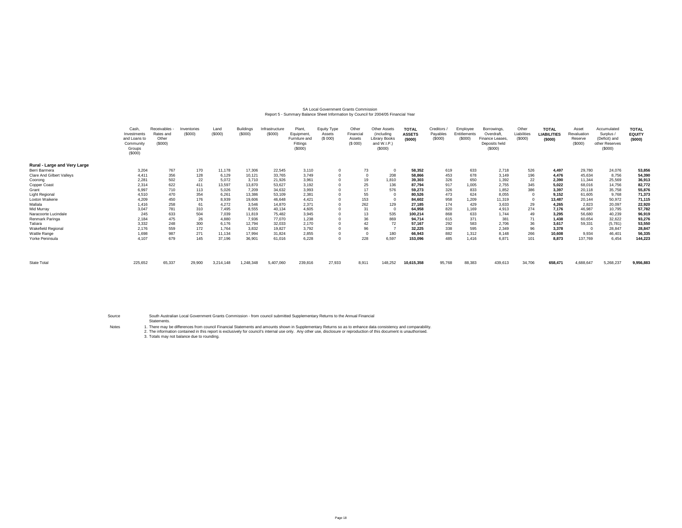## SA Local Government Grants Commission<br>Report 5 - Summary Balance Sheet Information by Council for 2004/05 Financial Year

|                                  | Cash<br>Investments<br>and Loans to<br>Community<br>Groups<br>(S000) | Receivables<br>Rates and<br>Other<br>(S000) | Inventories<br>(S000) | Land<br>(S000) | <b>Buildings</b><br>(\$000] | Infrastructure<br>(\$000) | Plant,<br>Equipment,<br>Furniture an<br>Fittings<br>(\$000) | Equity Type<br>Assets<br>(S 000) | Other<br>Financial<br>Assets<br>(S 000) | <b>Other Assets</b><br>(including<br><b>Library Books</b><br>and W.I.P.)<br>(S000) | <b>TOTAL</b><br><b>ASSETS</b><br>(5000) | Creditors<br>Payables<br>(\$000) | Employee<br>Entitlements<br>(S000) | Borrowings<br>Overdraft<br>Finance Leases.<br>Deposits held<br>(\$000) | Other<br>Liabilities<br>(\$000) | <b>TOTAL</b><br>LIABILITIES<br>(\$000) | Asset<br>Revaluation<br>Reserve<br>(\$000) | Accumulate<br>Surplus /<br>(Deficit) and<br>other Reserves<br>(S000) | <b>TOTAL</b><br><b>EQUITY</b><br>(5000) |
|----------------------------------|----------------------------------------------------------------------|---------------------------------------------|-----------------------|----------------|-----------------------------|---------------------------|-------------------------------------------------------------|----------------------------------|-----------------------------------------|------------------------------------------------------------------------------------|-----------------------------------------|----------------------------------|------------------------------------|------------------------------------------------------------------------|---------------------------------|----------------------------------------|--------------------------------------------|----------------------------------------------------------------------|-----------------------------------------|
| Rural - Large and Very Large     |                                                                      |                                             |                       |                |                             |                           |                                                             |                                  |                                         |                                                                                    |                                         |                                  |                                    |                                                                        |                                 |                                        |                                            |                                                                      |                                         |
| Berri Barmera                    | 3,204                                                                | 767                                         | 170                   | 11,178         | 17,306                      | 22,545                    | 3,110                                                       |                                  | 73                                      |                                                                                    | 58,352                                  | 619                              | 633                                | 2,718                                                                  | 526                             | 4,497                                  | 29,780                                     | 24,076                                                               | 53,856                                  |
| <b>Clare And Gilbert Valleys</b> | 4,411                                                                | 356                                         | 128                   | 6,129          | 10,121                      | 33,765                    | 3,749                                                       |                                  | $\overline{0}$                          | 208                                                                                | 58,866                                  | 453                              | 678                                | 3.149                                                                  | 196                             | 4,476                                  | 45,634                                     | 8,756                                                                | 54,390                                  |
| Coorong                          | 2,281                                                                | 502                                         | 22                    | 5,072          | 3,710                       | 21,926                    | 3,961                                                       |                                  | 19                                      | 1,810                                                                              | 39,303                                  | 326                              | 650                                | 1,392                                                                  | 22                              | 2,390                                  | 11,344                                     | 25,569                                                               | 36,913                                  |
| Copper Coast                     | 2,314                                                                | 622                                         | 411                   | 13,597         | 13,870                      | 53,627                    | 3,192                                                       |                                  | 25                                      | 136                                                                                | 87,794                                  | 917                              | 1,005                              | 2,755                                                                  | 345                             | 5,022                                  | 68,016                                     | 14,756                                                               | 82,772                                  |
| Grant                            | 6,997                                                                | 710                                         | 113                   | 5,026          | 7,209                       | 34,632                    | 3,993                                                       |                                  | 17                                      | 576                                                                                | 59.273                                  | 326                              | 833                                | 1,852                                                                  | 386                             | 3,397                                  | 20,118                                     | 35,758                                                               | 55,876                                  |
| Light Regiona                    | 4,510                                                                | 470                                         | 354                   | 6,261          | 13,386                      | 53,109                    | 2,381                                                       |                                  | 55                                      |                                                                                    | 80,526                                  | 473                              | 624                                | 8,055                                                                  | $^{\circ}$                      | 9,152                                  | 61,605                                     | 9,768                                                                | 71,373                                  |
| Loxton Waikerie                  | 4,209                                                                | 450                                         | 176                   | 8,939          | 19,606                      | 46,648                    | 4,421                                                       |                                  | 153                                     |                                                                                    | 84,602                                  | 958                              | 1,209                              | 11,319                                                                 | $^{\circ}$                      | 13,487                                 | 20,144                                     | 50,972                                                               | 71,115                                  |
| Mallala                          | 1,416                                                                | 258                                         | 61                    | 4,272          | 3,546                       | 14,870                    | 2,371                                                       |                                  | 262                                     | 129                                                                                | 27,185                                  | 174                              | 429                                | 3,633                                                                  | 29                              | 4,265                                  | 2,823                                      | 20,097                                                               | 22,920                                  |
| Mid Murray                       | 3,047                                                                | 781                                         | 310                   | 7,495          | 8,555                       | 40,134                    | 4,605                                                       |                                  | 31                                      |                                                                                    | 64,958                                  | 820                              | 1,169                              | 4,913                                                                  | 274                             | 7,176                                  | 46,987                                     | 10,795                                                               | 57,782                                  |
| Naracoorte Lucindale             | 245                                                                  | 633                                         | 504                   | 7,039          | 11,819                      | 75,482                    | 3,945                                                       |                                  | 13                                      | 535                                                                                | 100,214                                 | 868                              | 633                                | 1,744                                                                  | 49                              | 3,295                                  | 56,680                                     | 40,239                                                               | 96,919                                  |
| Renmark Paringa                  | 2,184                                                                | 475                                         | 26                    | 4,880          | 7,936                       | 77,070                    | 1,238                                                       |                                  | 36                                      | 869                                                                                | 94.714                                  | 615                              | 371                                | 381                                                                    | 71                              | 1,438                                  | 60,654                                     | 32,622                                                               | 93,276                                  |
| Tatiara                          | 3,332                                                                | 248                                         | 300                   | 6,176          | 12,794                      | 32,033                    | 2,170                                                       |                                  | 42                                      | 72                                                                                 | 57,167                                  | 292                              | 583                                | 2,706                                                                  | 36                              | 3,617                                  | 59,331                                     | (5,781)                                                              | 53,550                                  |
| <b>Wakefield Regional</b>        | 2,176                                                                | 559                                         | 172                   | 1,764          | 3,832                       | 19,827                    | 3,792                                                       |                                  | 96                                      |                                                                                    | 32.225                                  | 338                              | 595                                | 2,349                                                                  | 96                              | 3,378                                  |                                            | 28,847                                                               | 28,847                                  |
| Wattle Range                     | 1,698                                                                | 987                                         | 271                   | 11,134         | 17,994                      | 31,824                    | 2,855                                                       |                                  | $\Omega$                                | 180                                                                                | 66,943                                  | 882                              | 1,312                              | 8.148                                                                  | 266                             | 10,608                                 | 9,934                                      | 46,401                                                               | 56,335                                  |
| Yorke Peninsula                  | 4,107                                                                | 679                                         | 145                   | 37,196         | 36,901                      | 61,016                    | 6,228                                                       |                                  | 228                                     | 6,597                                                                              | 153,096                                 | 485                              | 1.416                              | 6,871                                                                  | 101                             | 8,873                                  | 137,769                                    | 6.454                                                                | 144,223                                 |
|                                  |                                                                      |                                             |                       |                |                             |                           |                                                             |                                  |                                         |                                                                                    |                                         |                                  |                                    |                                                                        |                                 |                                        |                                            |                                                                      |                                         |
| <b>State Total</b>               | 225,652                                                              | 65,337                                      | 29,900                | 3,214,148      | 1,248,348                   | 5,407,060                 | 239,816                                                     | 27,933                           | 8,911                                   | 148,252                                                                            | 10,615,358                              | 95,768                           | 88,383                             | 439,613                                                                | 34,706                          | 658,471                                | 4,688,647                                  | 5,268,237                                                            | 9,956,883                               |

Source

South Australian Local Government Grants Commission - from council submitted Supplementary Returns to the Annual Financial Statements.

Notes

1. There may be differences from council Financial Statements and amounts shown in Supplementary Returns so as to enhance data consistency and comparability.<br>2. The information contained in this report is exclusively for c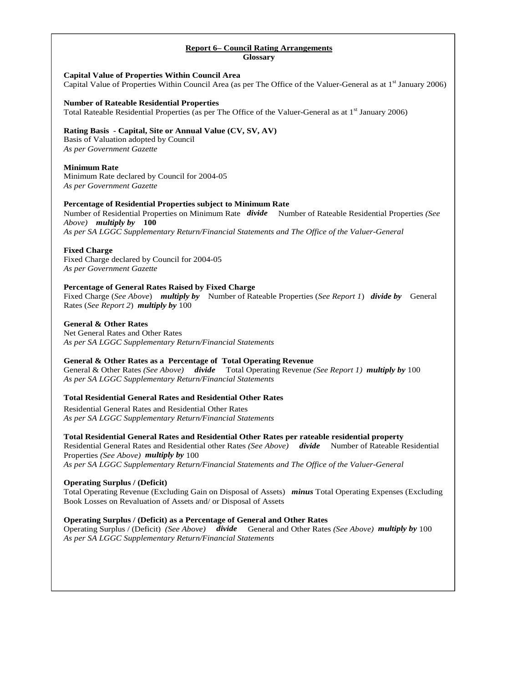## **Report 6– Council Rating Arrangements Glossary**

## **Capital Value of Properties Within Council Area**

Capital Value of Properties Within Council Area (as per The Office of the Valuer-General as at 1<sup>st</sup> January 2006)

## **Number of Rateable Residential Properties**

Total Rateable Residential Properties (as per The Office of the Valuer-General as at 1<sup>st</sup> January 2006)

## **Rating Basis - Capital, Site or Annual Value (CV, SV, AV)**

Basis of Valuation adopted by Council *As per Government Gazette* 

## **Minimum Rate**

Minimum Rate declared by Council for 2004-05 *As per Government Gazette* 

## **Percentage of Residential Properties subject to Minimum Rate**

Number of Residential Properties on Minimum Rate *divide* Number of Rateable Residential Properties *(See Above) multiply by* **100**

*As per SA LGGC Supplementary Return/Financial Statements and The Office of the Valuer-General* 

## **Fixed Charge**

Fixed Charge declared by Council for 2004-05 *As per Government Gazette* 

## **Percentage of General Rates Raised by Fixed Charge**

Fixed Charge (*See Above*) *multiply by* Number of Rateable Properties (*See Report 1*) *divide by* General Rates (*See Report 2*) *multiply by* 100

## **General & Other Rates**

Net General Rates and Other Rates *As per SA LGGC Supplementary Return/Financial Statements* 

## **General & Other Rates as a Percentage of Total Operating Revenue**

General & Other Rates *(See Above) divide* Total Operating Revenue *(See Report 1) multiply by* 100 *As per SA LGGC Supplementary Return/Financial Statements*

## **Total Residential General Rates and Residential Other Rates**

Residential General Rates and Residential Other Rates *As per SA LGGC Supplementary Return/Financial Statements*

## **Total Residential General Rates and Residential Other Rates per rateable residential property**

Residential General Rates and Residential other Rates *(See Above) divide* Number of Rateable Residential Properties *(See Above) multiply by* 100

*As per SA LGGC Supplementary Return/Financial Statements and The Office of the Valuer-General* 

## **Operating Surplus / (Deficit)**

Total Operating Revenue (Excluding Gain on Disposal of Assets) *minus* Total Operating Expenses (Excluding Book Losses on Revaluation of Assets and/ or Disposal of Assets

## **Operating Surplus / (Deficit) as a Percentage of General and Other Rates**

Operating Surplus / (Deficit) *(See Above) divide* General and Other Rates *(See Above) multiply by* 100 *As per SA LGGC Supplementary Return/Financial Statements*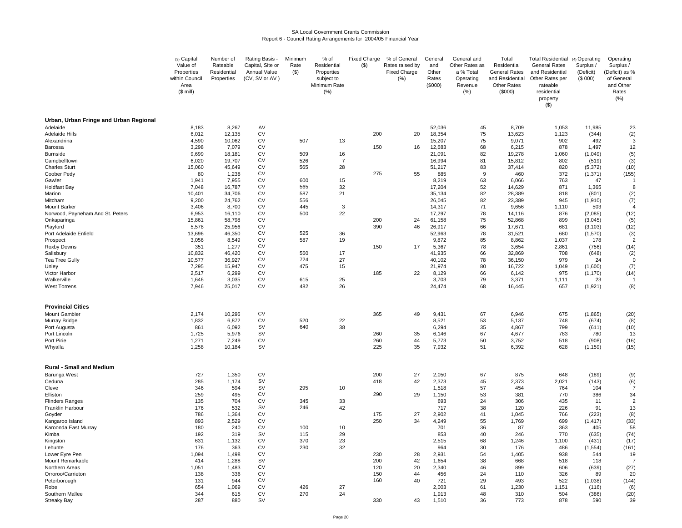#### SA Local Government Grants CommissionReport 6 - Council Rating Arrangements for 2004/05 Financial Year

|                                                  | (3) Capital<br>Value of<br>Properties<br>within Council<br>Area<br>$($$ mill) | Number of<br>Rateable<br>Residential<br>Properties | Rating Basis -<br>Capital, Site or<br>Annual Value<br>(CV, SV or AV) | Minimum<br>Rate<br>$($ \$) | % of<br>Residential<br>Properties<br>subject to<br>Minimum Rate<br>(% ) | <b>Fixed Charge</b><br>$($ \$) | % of General<br>Rates raised by<br><b>Fixed Charge</b><br>(% ) | General<br>and<br>Other<br>Rates<br>(\$000) | General and<br>Other Rates as<br>a % Total<br>Operating<br>Revenue<br>(% ) | Total<br>Residential<br><b>General Rates</b><br>and Residential<br>Other Rates<br>(\$000) | <b>Total Residential</b><br><b>General Rates</b><br>and Residential<br>Other Rates per<br>rateable<br>residential<br>property<br>$($ \$) | (4) Operating<br>Surplus /<br>(Deficit)<br>(\$000) | Operating<br>Surplus /<br>(Deficit) as %<br>of General<br>and Other<br>Rates<br>(% ) |
|--------------------------------------------------|-------------------------------------------------------------------------------|----------------------------------------------------|----------------------------------------------------------------------|----------------------------|-------------------------------------------------------------------------|--------------------------------|----------------------------------------------------------------|---------------------------------------------|----------------------------------------------------------------------------|-------------------------------------------------------------------------------------------|------------------------------------------------------------------------------------------------------------------------------------------|----------------------------------------------------|--------------------------------------------------------------------------------------|
| Urban, Urban Fringe and Urban Regional           |                                                                               |                                                    |                                                                      |                            |                                                                         |                                |                                                                |                                             |                                                                            |                                                                                           |                                                                                                                                          |                                                    |                                                                                      |
| Adelaide<br>Adelaide Hills                       | 8,183<br>6,012                                                                | 8,267<br>12,135                                    | AV<br>CV                                                             |                            |                                                                         | 200                            | 20                                                             | 52,036<br>18,354                            | 45<br>75                                                                   | 8,709<br>13,623                                                                           | 1,053<br>1,123                                                                                                                           | 11,985<br>(344)                                    | 23<br>(2)                                                                            |
| Alexandrina                                      | 4,590                                                                         | 10,062                                             | CV                                                                   | 507                        | 13                                                                      |                                |                                                                | 15,207                                      | 75                                                                         | 9,071                                                                                     | 902                                                                                                                                      | 492                                                | 3                                                                                    |
| Barossa                                          | 3,298                                                                         | 7,079                                              | CV                                                                   |                            |                                                                         | 150                            | 16                                                             | 12,683                                      | 68                                                                         | 6,215                                                                                     | 878                                                                                                                                      | 1,497                                              | 12                                                                                   |
| <b>Burnside</b>                                  | 9,699                                                                         | 18,181                                             | <b>CV</b>                                                            | 509                        | 16                                                                      |                                |                                                                | 21,091                                      | 82                                                                         | 19,278                                                                                    | 1,060                                                                                                                                    | (1,049)                                            | (5)                                                                                  |
| Campbelltown                                     | 6,020                                                                         | 19,707                                             | CV<br><b>CV</b>                                                      | 526<br>565                 | $\overline{7}$                                                          |                                |                                                                | 16,994<br>51,217                            | 81                                                                         | 15,812                                                                                    | 802                                                                                                                                      | (519)                                              | (3)                                                                                  |
| <b>Charles Sturt</b><br>Coober Pedy              | 15,060<br>80                                                                  | 45,649<br>1,238                                    | <b>CV</b>                                                            |                            | 28                                                                      | 275                            | 55                                                             | 885                                         | 83<br>9                                                                    | 37,414<br>460                                                                             | 820<br>372                                                                                                                               | (5, 372)<br>(1, 371)                               | (10)<br>(155)                                                                        |
| Gawler                                           | 1,941                                                                         | 7,955                                              | CV                                                                   | 600                        | 15                                                                      |                                |                                                                | 8,219                                       | 63                                                                         | 6,066                                                                                     | 763                                                                                                                                      | 47                                                 | -1                                                                                   |
| <b>Holdfast Bay</b>                              | 7,048                                                                         | 16,787                                             | <b>CV</b>                                                            | 565                        | 32                                                                      |                                |                                                                | 17,204                                      | 52                                                                         | 14,629                                                                                    | 871                                                                                                                                      | 1,365                                              | 8                                                                                    |
| Marion                                           | 10,401                                                                        | 34,706                                             | CV                                                                   | 587                        | 21                                                                      |                                |                                                                | 35,134                                      | 82                                                                         | 28,389                                                                                    | 818                                                                                                                                      | (801)                                              | (2)                                                                                  |
| Mitcham                                          | 9,200                                                                         | 24,762                                             | CV                                                                   | 556                        |                                                                         |                                |                                                                | 26,045                                      | 82                                                                         | 23,389                                                                                    | 945                                                                                                                                      | (1, 910)                                           | (7)                                                                                  |
| Mount Barker<br>Norwood, Payneham And St. Peters | 3,406<br>6,953                                                                | 8,700<br>16,110                                    | <b>CV</b><br><b>CV</b>                                               | 445<br>500                 | 3<br>22                                                                 |                                |                                                                | 14,317<br>17,297                            | 71<br>78                                                                   | 9,656<br>14,116                                                                           | 1,110<br>876                                                                                                                             | 503<br>(2,085)                                     | $\overline{4}$<br>(12)                                                               |
| Onkaparinga                                      | 15,861                                                                        | 58,798                                             | CV                                                                   |                            |                                                                         | 200                            | 24                                                             | 61,158                                      | 75                                                                         | 52,868                                                                                    | 899                                                                                                                                      | (3,045)                                            | (5)                                                                                  |
| Playford                                         | 5,578                                                                         | 25,956                                             | CV                                                                   |                            |                                                                         | 390                            | 46                                                             | 26.917                                      | 66                                                                         | 17.671                                                                                    | 681                                                                                                                                      | (3, 103)                                           | (12)                                                                                 |
| Port Adelaide Enfield                            | 13,696                                                                        | 46,350                                             | <b>CV</b>                                                            | 525                        | 36                                                                      |                                |                                                                | 52,963                                      | 78                                                                         | 31,521                                                                                    | 680                                                                                                                                      | (1, 570)                                           | (3)                                                                                  |
| Prospect                                         | 3,056                                                                         | 8,549                                              | CV                                                                   | 587                        | 19                                                                      |                                |                                                                | 9,872                                       | 85                                                                         | 8,862                                                                                     | 1,037                                                                                                                                    | 178                                                | $\overline{2}$                                                                       |
| Roxby Downs<br>Salisbury                         | 351<br>10,832                                                                 | 1,277<br>46,420                                    | CV<br>CV                                                             | 560                        | 17                                                                      | 150                            | 17                                                             | 5,367<br>41,935                             | 78<br>66                                                                   | 3,654<br>32,869                                                                           | 2,861<br>708                                                                                                                             | (756)<br>(648)                                     | (14)<br>(2)                                                                          |
| Tea Tree Gully                                   | 10,577                                                                        | 36,927                                             | CV                                                                   | 724                        | 27                                                                      |                                |                                                                | 40,102                                      | 78                                                                         | 36,150                                                                                    | 979                                                                                                                                      | 24                                                 | $\Omega$                                                                             |
| Unley                                            | 7,295                                                                         | 15,947                                             | <b>CV</b>                                                            | 475                        | 15                                                                      |                                |                                                                | 21,974                                      | 80                                                                         | 16,722                                                                                    | 1,049                                                                                                                                    | (1,600)                                            | (7)                                                                                  |
| Victor Harbor                                    | 2,517                                                                         | 6,299                                              | CV                                                                   |                            |                                                                         | 185                            | 22                                                             | 8,129                                       | 66                                                                         | 6,142                                                                                     | 975                                                                                                                                      | (1, 170)                                           | (14)                                                                                 |
| Walkerville<br><b>West Torrens</b>               | 1,646<br>7,946                                                                | 3,035<br>25,017                                    | CV<br>CV                                                             | 615<br>482                 | 25<br>26                                                                |                                |                                                                | 3,703<br>24,474                             | 79<br>68                                                                   | 3,371<br>16,445                                                                           | 1,111<br>657                                                                                                                             | 23<br>(1,921)                                      | (8)                                                                                  |
|                                                  |                                                                               |                                                    |                                                                      |                            |                                                                         |                                |                                                                |                                             |                                                                            |                                                                                           |                                                                                                                                          |                                                    |                                                                                      |
| <b>Provincial Cities</b>                         |                                                                               |                                                    |                                                                      |                            |                                                                         |                                |                                                                |                                             |                                                                            |                                                                                           |                                                                                                                                          |                                                    |                                                                                      |
| <b>Mount Gambier</b>                             | 2,174                                                                         | 10,296                                             | <b>CV</b>                                                            |                            |                                                                         | 365                            | 49                                                             | 9,431                                       | 67                                                                         | 6,946                                                                                     | 675                                                                                                                                      | (1,865)                                            | (20)                                                                                 |
| Murray Bridge                                    | 1,832                                                                         | 6,872                                              | <b>CV</b>                                                            | 520<br>640                 | 22<br>38                                                                |                                |                                                                | 8,521                                       | 53                                                                         | 5,137                                                                                     | 748                                                                                                                                      | (674)                                              | (8)                                                                                  |
| Port Augusta<br>Port Lincoln                     | 861<br>1,725                                                                  | 6,092<br>5,976                                     | <b>SV</b><br><b>SV</b>                                               |                            |                                                                         | 260                            | 35                                                             | 6,294<br>6,146                              | 35<br>67                                                                   | 4,867<br>4,677                                                                            | 799<br>783                                                                                                                               | (611)<br>780                                       | (10)<br>13                                                                           |
| Port Pirie                                       | 1,271                                                                         | 7,249                                              | CV                                                                   |                            |                                                                         | 260                            | 44                                                             | 5,773                                       | 50                                                                         | 3,752                                                                                     | 518                                                                                                                                      | (908)                                              | (16)                                                                                 |
| Whyalla                                          | 1,258                                                                         | 10,184                                             | <b>SV</b>                                                            |                            |                                                                         | 225                            | 35                                                             | 7,932                                       | 51                                                                         | 6,392                                                                                     | 628                                                                                                                                      | (1, 159)                                           | (15)                                                                                 |
| <b>Rural - Small and Medium</b>                  |                                                                               |                                                    |                                                                      |                            |                                                                         |                                |                                                                |                                             |                                                                            |                                                                                           |                                                                                                                                          |                                                    |                                                                                      |
| Barunga West                                     | 727                                                                           | 1,350                                              | <b>CV</b>                                                            |                            |                                                                         | 200                            | 27                                                             | 2,050                                       | 67                                                                         | 875                                                                                       | 648                                                                                                                                      | (189)                                              | (9)                                                                                  |
| Ceduna                                           | 285                                                                           | 1,174                                              | <b>SV</b>                                                            |                            |                                                                         | 418                            | 42                                                             | 2,373                                       | 45                                                                         | 2,373                                                                                     | 2,021                                                                                                                                    | (143)                                              | (6)                                                                                  |
| Cleve                                            | 346                                                                           | 594                                                | <b>SV</b>                                                            | 295                        | 10                                                                      |                                |                                                                | 1,518                                       | 57                                                                         | 454                                                                                       | 764                                                                                                                                      | 104                                                | $\overline{7}$                                                                       |
| Elliston                                         | 259                                                                           | 495                                                | CV                                                                   |                            |                                                                         | 290                            | 29                                                             | 1,150                                       | 53                                                                         | 381                                                                                       | 770                                                                                                                                      | 386                                                | 34                                                                                   |
| <b>Flinders Ranges</b><br>Franklin Harbour       | 135<br>176                                                                    | 704<br>532                                         | CV<br><b>SV</b>                                                      | 345<br>246                 | 33<br>42                                                                |                                |                                                                | 693<br>717                                  | 24<br>38                                                                   | 306<br>120                                                                                | 435<br>226                                                                                                                               | 11<br>91                                           | $\overline{2}$<br>13                                                                 |
| Goyder                                           | 786                                                                           | 1,364                                              | <b>CV</b>                                                            |                            |                                                                         | 175                            | 27                                                             | 2,902                                       | 41                                                                         | 1.045                                                                                     | 766                                                                                                                                      | (223)                                              | (8)                                                                                  |
| Kangaroo Island                                  | 893                                                                           | 2,529                                              | <b>CV</b>                                                            |                            |                                                                         | 250                            | 34                                                             | 4,249                                       | 55                                                                         | 1,769                                                                                     | 699                                                                                                                                      | (1, 417)                                           | (33)                                                                                 |
| Karoonda East Murray                             | 180                                                                           | 240                                                | CV                                                                   | 100                        | 10                                                                      |                                |                                                                | 701                                         | 36                                                                         | 87                                                                                        | 363                                                                                                                                      | 405                                                | 58                                                                                   |
| Kimba                                            | 192                                                                           | 319                                                | <b>SV</b>                                                            | 115                        | 29                                                                      |                                |                                                                | 853                                         | 40                                                                         | 246                                                                                       | 770                                                                                                                                      | (635)                                              | (74)                                                                                 |
| Kingston<br>Lehunte                              | 631<br>176                                                                    | 1,132<br>363                                       | CV<br><b>CV</b>                                                      | 370<br>230                 | 23<br>32                                                                |                                |                                                                | 2,515<br>964                                | 68<br>30                                                                   | 1,246<br>176                                                                              | 1,100<br>486                                                                                                                             | (431)<br>(1, 554)                                  | (17)<br>(161)                                                                        |
| Lower Eyre Pen                                   | 1,094                                                                         | 1,498                                              | CV                                                                   |                            |                                                                         | 230                            | 28                                                             | 2,931                                       | 54                                                                         | 1,405                                                                                     | 938                                                                                                                                      | 544                                                | 19                                                                                   |
| Mount Remarkable                                 | 414                                                                           | 1,288                                              | <b>SV</b>                                                            |                            |                                                                         | 200                            | 42                                                             | 1,654                                       | 38                                                                         | 668                                                                                       | 518                                                                                                                                      | 118                                                |                                                                                      |
| Northern Areas                                   | 1,051                                                                         | 1,483                                              | <b>CV</b>                                                            |                            |                                                                         | 120                            | 20                                                             | 2,340                                       | 46                                                                         | 899                                                                                       | 606                                                                                                                                      | (639)                                              | (27)                                                                                 |
| Orroroo/Carrieton                                | 138                                                                           | 336                                                | CV                                                                   |                            |                                                                         | 150                            | 44                                                             | 456                                         | 24                                                                         | 110                                                                                       | 326                                                                                                                                      | 89                                                 | 20                                                                                   |
| Peterborough                                     | 131                                                                           | 944                                                | CV                                                                   |                            | 27                                                                      | 160                            | 40                                                             | 721                                         | 29                                                                         | 493                                                                                       | 522                                                                                                                                      | (1,038)                                            | (144)                                                                                |
| Robe<br>Southern Mallee                          | 654<br>344                                                                    | 1,069<br>615                                       | CV<br>CV                                                             | 426<br>270                 | 24                                                                      |                                |                                                                | 2,003<br>1.913                              | 61<br>48                                                                   | 1,230<br>310                                                                              | 1,151<br>504                                                                                                                             | (116)<br>(386)                                     | (6)<br>(20)                                                                          |
| <b>Streaky Bay</b>                               | 287                                                                           | 880                                                | <b>SV</b>                                                            |                            |                                                                         | 330                            | 43                                                             | 1,510                                       | 36                                                                         | 773                                                                                       | 878                                                                                                                                      | 590                                                | 39                                                                                   |
|                                                  |                                                                               |                                                    |                                                                      |                            |                                                                         |                                |                                                                |                                             |                                                                            |                                                                                           |                                                                                                                                          |                                                    |                                                                                      |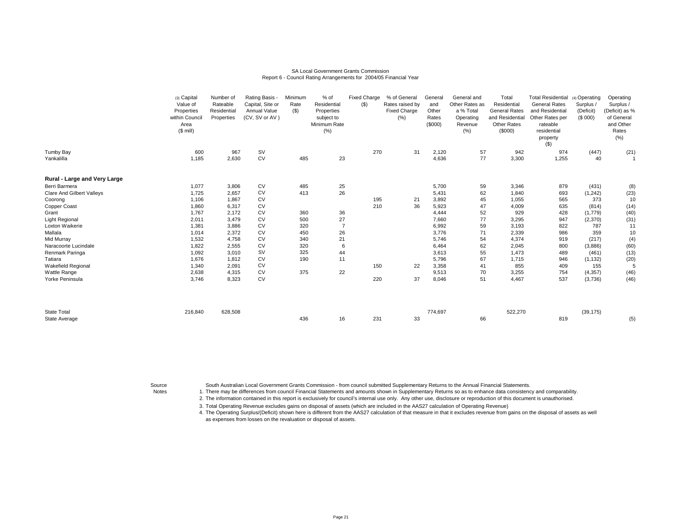#### SA Local Government Grants CommissionReport 6 - Council Rating Arrangements for 2004/05 Financial Year

|                                  | (3) Capital    | Number of   | Rating Basis -   | Minimum | % of           | <b>Fixed Charge</b> | % of General        | General | General and    | Total                | Total Residential (4) Operating |           | Operating      |
|----------------------------------|----------------|-------------|------------------|---------|----------------|---------------------|---------------------|---------|----------------|----------------------|---------------------------------|-----------|----------------|
|                                  | Value of       | Rateable    | Capital, Site or | Rate    | Residential    | ( \$)               | Rates raised by     | and     | Other Rates as | Residential          | <b>General Rates</b>            | Surplus / | Surplus /      |
|                                  | Properties     | Residential | Annual Value     | $($ \$) | Properties     |                     | <b>Fixed Charge</b> | Other   | a % Total      | <b>General Rates</b> | and Residential                 | (Deficit) | (Deficit) as % |
|                                  | within Council | Properties  | (CV, SV or AV)   |         | subject to     |                     | (% )                | Rates   | Operating      | and Residential      | Other Rates per                 | (S 000)   | of General     |
|                                  | Area           |             |                  |         | Minimum Rate   |                     |                     | (\$000) | Revenue        | <b>Other Rates</b>   | rateable                        |           | and Other      |
|                                  | $($$ mill)     |             |                  |         | (% )           |                     |                     |         | (% )           | (\$000)              | residential                     |           | Rates          |
|                                  |                |             |                  |         |                |                     |                     |         |                |                      | property                        |           | (% )           |
|                                  |                |             |                  |         |                |                     |                     |         |                |                      | $($ \$)                         |           |                |
| Tumby Bay                        | 600            | 967         | <b>SV</b>        |         |                | 270                 | 31                  | 2,120   | 57             | 942                  | 974                             | (447)     | (21)           |
| Yankalilla                       | 1,185          | 2,630       | <b>CV</b>        | 485     | 23             |                     |                     | 4,636   | 77             | 3,300                | 1,255                           | 40        | 1              |
|                                  |                |             |                  |         |                |                     |                     |         |                |                      |                                 |           |                |
| Rural - Large and Very Large     |                |             |                  |         |                |                     |                     |         |                |                      |                                 |           |                |
| Berri Barmera                    | 1,077          | 3,806       | CV               | 485     | 25             |                     |                     | 5,700   | 59             | 3,346                | 879                             | (431)     | (8)            |
| <b>Clare And Gilbert Valleys</b> | 1,725          | 2,657       | CV               | 413     | 26             |                     |                     | 5,431   | 62             | 1,840                | 693                             | (1, 242)  | (23)           |
| Coorong                          | 1,106          | 1,867       | CV               |         |                | 195                 | 21                  | 3,892   | 45             | 1,055                | 565                             | 373       | 10             |
| Copper Coast                     | 1,860          | 6,317       | CV               |         |                | 210                 | 36                  | 5,923   | 47             | 4,009                | 635                             | (814)     | (14)           |
| Grant                            | 1,767          | 2,172       | CV               | 360     | 36             |                     |                     | 4,444   | 52             | 929                  | 428                             | (1,779)   | (40)           |
| Light Regional                   | 2,011          | 3,479       | CV               | 500     | 27             |                     |                     | 7,660   | 77             | 3,295                | 947                             | (2,370)   | (31)           |
| Loxton Waikerie                  | 1,381          | 3,886       | CV               | 320     | $\overline{7}$ |                     |                     | 6,992   | 59             | 3,193                | 822                             | 787       | 11             |
| Mallala                          | 1,014          | 2,372       | CV               | 450     | 26             |                     |                     | 3,776   | 71             | 2,339                | 986                             | 359       | 10             |
| Mid Murray                       | 1,532          | 4,758       | <b>CV</b>        | 340     | 21             |                     |                     | 5,746   | 54             | 4,374                | 919                             | (217)     | (4)            |
| Naracoorte Lucindale             | 1,822          | 2,555       | CV               | 320     | 6              |                     |                     | 6,464   | 62             | 2,045                | 800                             | (3,886)   | (60)           |
| Renmark Paringa                  | 1,092          | 3,010       | <b>SV</b>        | 325     | 44             |                     |                     | 3,613   | 55             | 1,473                | 489                             | (461)     | (13)           |
| Tatiara                          | 1,676          | 1,812       | CV               | 190     | 11             |                     |                     | 5,796   | 67             | 1,715                | 946                             | (1, 132)  | (20)           |
| Wakefield Regional               | 1,340          | 2,091       | <b>CV</b>        |         |                | 150                 | 22                  | 3,358   | 41             | 855                  | 409                             | 155       | 5              |
| Wattle Range                     | 2,638          | 4,315       | CV               | 375     | 22             |                     |                     | 9,513   | 70             | 3,255                | 754                             | (4, 357)  | (46)           |
| Yorke Peninsula                  | 3,746          | 8,323       | <b>CV</b>        |         |                | 220                 | 37                  | 8,046   | 51             | 4,467                | 537                             | (3,736)   | (46)           |
|                                  |                |             |                  |         |                |                     |                     |         |                |                      |                                 |           |                |
| <b>State Total</b>               | 216,840        | 628,508     |                  |         |                |                     |                     | 774,697 |                | 522,270              |                                 | (39, 175) |                |
| State Average                    |                |             |                  | 436     | 16             | 231                 | 33                  |         | 66             |                      | 819                             |           | (5)            |

Source

South Australian Local Government Grants Commission - from council submitted Supplementary Returns to the Annual Financial Statements.

Notes 1. There may be differences from council Financial Statements and amounts shown in Supplementary Returns so as to enhance data consistency and comparability.

2. The information contained in this report is exclusively for council's internal use only. Any other use, disclosure or reproduction of this document is unauthorised.

3.Total Operating Revenue excludes gains on disposal of assets (which are included in the AAS27 calculation of Operating Revenue)

 4.The Operating Surplus/(Deficit) shown here is different from the AAS27 calculation of that measure in that it excludes revenue from gains on the disposal of assets as well as expenses from losses on the revaluation or disposal of assets.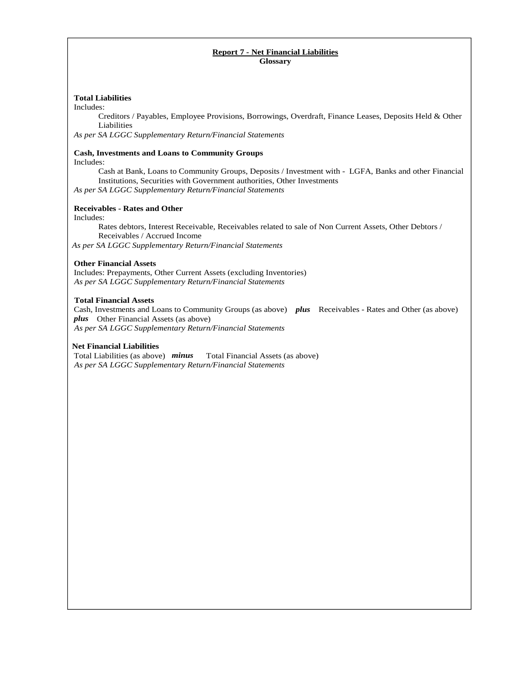## **Report 7 - Net Financial Liabilities Glossary**

## **Total Liabilities**

Includes:

Creditors / Payables, Employee Provisions, Borrowings, Overdraft, Finance Leases, Deposits Held & Other Liabilities

*As per SA LGGC Supplementary Return/Financial Statements*

### **Cash, Investments and Loans to Community Groups**

Includes:

Cash at Bank, Loans to Community Groups, Deposits / Investment with - LGFA, Banks and other Financial Institutions, Securities with Government authorities, Other Investments *As per SA LGGC Supplementary Return/Financial Statements* 

## **Receivables - Rates and Other**

Includes:

Rates debtors, Interest Receivable, Receivables related to sale of Non Current Assets, Other Debtors / Receivables / Accrued Income

 *As per SA LGGC Supplementary Return/Financial Statements*

## **Other Financial Assets**

Includes: Prepayments, Other Current Assets (excluding Inventories)  *As per SA LGGC Supplementary Return/Financial Statements* 

### **Total Financial Assets**

Cash, Investments and Loans to Community Groups (as above) *plus* Receivables - Rates and Other (as above) *plus* Other Financial Assets (as above)  *As per SA LGGC Supplementary Return/Financial Statements*

## **Net Financial Liabilities**

Total Liabilities (as above) *minus* Total Financial Assets (as above)  *As per SA LGGC Supplementary Return/Financial Statements*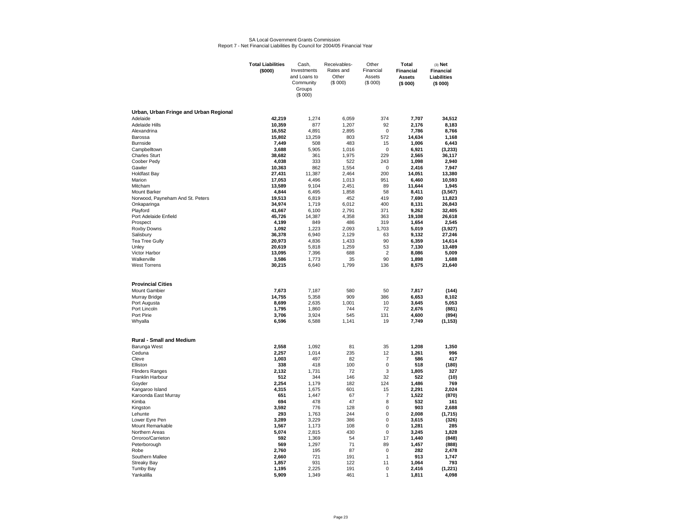#### SA Local Government Grants CommissionReport 7 - Net Financial Liabilities By Council for 2004/05 Financial Year

|                                        | <b>Total Liabilities</b><br>(\$000) | Cash,<br>Investments<br>and Loans to<br>Community<br>Groups<br>(\$000) | Receivables-<br>Rates and<br>Other<br>(\$000) | Other<br>Financial<br>Assets<br>(\$000) | Total<br><b>Financial</b><br><b>Assets</b><br>(\$000) | $(3)$ Net<br><b>Financial</b><br>Liabilities<br>(\$000) |
|----------------------------------------|-------------------------------------|------------------------------------------------------------------------|-----------------------------------------------|-----------------------------------------|-------------------------------------------------------|---------------------------------------------------------|
| Urban, Urban Fringe and Urban Regional |                                     |                                                                        |                                               |                                         |                                                       |                                                         |
| Adelaide                               | 42,219                              | 1,274                                                                  | 6,059                                         | 374                                     | 7.707                                                 | 34.512                                                  |
| <b>Adelaide Hills</b>                  | 10,359                              | 877                                                                    | 1,207                                         | 92                                      | 2,176                                                 | 8,183                                                   |
| Alexandrina<br>Barossa                 | 16,552<br>15,802                    | 4,891<br>13,259                                                        | 2,895<br>803                                  | $\mathbf 0$<br>572                      | 7,786<br>14,634                                       | 8,766<br>1.168                                          |
| <b>Burnside</b>                        | 7,449                               | 508                                                                    | 483                                           | 15                                      | 1,006                                                 | 6,443                                                   |
| Campbelltown                           | 3.688                               | 5.905                                                                  | 1.016                                         | 0                                       | 6.921                                                 | (3,233)                                                 |
| <b>Charles Sturt</b>                   | 38,682                              | 361                                                                    | 1,975                                         | 229                                     | 2,565                                                 | 36,117                                                  |
| Coober Pedy                            | 4,038                               | 333                                                                    | 522                                           | 243                                     | 1,098                                                 | 2,940                                                   |
| Gawler                                 | 10,363                              | 862                                                                    | 1,554                                         | 0                                       | 2,416                                                 | 7,947                                                   |
| <b>Holdfast Bay</b><br>Marion          | 27,431<br>17,053                    | 11,387<br>4,496                                                        | 2,464<br>1,013                                | 200<br>951                              | 14,051<br>6,460                                       | 13,380<br>10,593                                        |
| Mitcham                                | 13,589                              | 9,104                                                                  | 2,451                                         | 89                                      | 11,644                                                | 1,945                                                   |
| Mount Barker                           | 4,844                               | 6,495                                                                  | 1,858                                         | 58                                      | 8,411                                                 | (3, 567)                                                |
| Norwood, Payneham And St. Peters       | 19,513                              | 6,819                                                                  | 452                                           | 419                                     | 7.690                                                 | 11,823                                                  |
| Onkaparinga                            | 34,974                              | 1,719                                                                  | 6,012                                         | 400                                     | 8,131                                                 | 26,843                                                  |
| Playford<br>Port Adelaide Enfield      | 41,667<br>45,726                    | 6,100                                                                  | 2,791                                         | 371<br>363                              | 9,262                                                 | 32,405                                                  |
| Prospect                               | 4,199                               | 14,387<br>849                                                          | 4,358<br>486                                  | 319                                     | 19,108<br>1,654                                       | 26,618<br>2,545                                         |
| Roxby Downs                            | 1,092                               | 1,223                                                                  | 2,093                                         | 1,703                                   | 5,019                                                 | (3,927)                                                 |
| Salisbury                              | 36,378                              | 6,940                                                                  | 2,129                                         | 63                                      | 9,132                                                 | 27,246                                                  |
| Tea Tree Gully                         | 20,973                              | 4,836                                                                  | 1,433                                         | 90                                      | 6,359                                                 | 14,614                                                  |
| Unley                                  | 20,619                              | 5,818                                                                  | 1,259                                         | 53                                      | 7,130                                                 | 13,489                                                  |
| Victor Harbor<br>Walkerville           | 13,095<br>3,586                     | 7,396<br>1,773                                                         | 688<br>35                                     | 2<br>90                                 | 8,086<br>1,898                                        | 5,009<br>1,688                                          |
| <b>West Torrens</b>                    | 30,215                              | 6,640                                                                  | 1,799                                         | 136                                     | 8,575                                                 | 21,640                                                  |
| <b>Provincial Cities</b>               |                                     |                                                                        |                                               |                                         |                                                       |                                                         |
| Mount Gambier                          | 7,673                               | 7,187                                                                  | 580                                           | 50                                      | 7,817                                                 | (144)                                                   |
| Murray Bridge                          | 14,755                              | 5,358                                                                  | 909                                           | 386                                     | 6,653                                                 | 8.102                                                   |
| Port Augusta                           | 8,699                               | 2,635                                                                  | 1,001                                         | 10                                      | 3,645                                                 | 5,053                                                   |
| Port Lincoln<br>Port Pirie             | 1,795<br>3,706                      | 1,860<br>3,924                                                         | 744<br>545                                    | 72<br>131                               | 2,676<br>4,600                                        | (881)<br>(894)                                          |
| Whyalla                                | 6,596                               | 6,588                                                                  | 1,141                                         | 19                                      | 7,749                                                 | (1, 153)                                                |
| <b>Rural - Small and Medium</b>        |                                     |                                                                        |                                               |                                         |                                                       |                                                         |
| Barunga West                           | 2,558                               | 1,092                                                                  | 81                                            | 35                                      | 1,208                                                 | 1,350                                                   |
| Ceduna<br>Cleve                        | 2,257                               | 1,014<br>497                                                           | 235                                           | 12<br>$\overline{7}$                    | 1,261                                                 | 996                                                     |
| Elliston                               | 1,003<br>338                        | 418                                                                    | 82<br>100                                     | $\mathbf 0$                             | 586<br>518                                            | 417<br>(180)                                            |
| <b>Flinders Ranges</b>                 | 2,132                               | 1,731                                                                  | 72                                            | 3                                       | 1,805                                                 | 327                                                     |
| Franklin Harbour                       | 512                                 | 344                                                                    | 146                                           | 32                                      | 522                                                   | (10)                                                    |
| Goyder                                 | 2,254                               | 1,179                                                                  | 182                                           | 124                                     | 1,486                                                 | 769                                                     |
| Kangaroo Island                        | 4,315                               | 1,675                                                                  | 601                                           | 15                                      | 2,291                                                 | 2,024                                                   |
| Karoonda East Murray<br>Kimba          | 651<br>694                          | 1,447<br>478                                                           | 67<br>47                                      | $\overline{7}$<br>8                     | 1,522<br>532                                          | (870)<br>161                                            |
| Kingston                               | 3,592                               | 776                                                                    | 128                                           | $\mathbf 0$                             | 903                                                   | 2,688                                                   |
| Lehunte                                | 293                                 | 1,763                                                                  | 244                                           | $\mathbf 0$                             | 2,008                                                 | (1,715)                                                 |
| Lower Eyre Pen                         | 3,289                               | 3,229                                                                  | 386                                           | 0                                       | 3,615                                                 | (326)                                                   |
| Mount Remarkable                       | 1,567                               | 1,173                                                                  | 108                                           | $\mathbf 0$                             | 1,281                                                 | 285                                                     |
| Northern Areas                         | 5,074                               | 2,815                                                                  | 430                                           | $\Omega$                                | 3,245                                                 | 1,828                                                   |
| Orroroo/Carrieton<br>Peterborough      | 592<br>569                          | 1,369<br>1,297                                                         | 54<br>71                                      | 17<br>89                                | 1,440<br>1,457                                        | (848)<br>(888)                                          |
| Robe                                   | 2,760                               | 195                                                                    | 87                                            | $\mathbf 0$                             | 282                                                   | 2,478                                                   |
| Southern Mallee                        | 2,660                               | 721                                                                    | 191                                           | $\mathbf{1}$                            | 913                                                   | 1.747                                                   |
| <b>Streaky Bay</b>                     | 1,857                               | 931                                                                    | 122                                           | 11                                      | 1.064                                                 | 793                                                     |
| <b>Tumby Bay</b>                       | 1,195                               | 2,225                                                                  | 191                                           | $\mathbf 0$                             | 2,416                                                 | (1, 221)                                                |
| Yankalilla                             | 5,909                               | 1,349                                                                  | 461                                           | $\mathbf{1}$                            | 1,811                                                 | 4,098                                                   |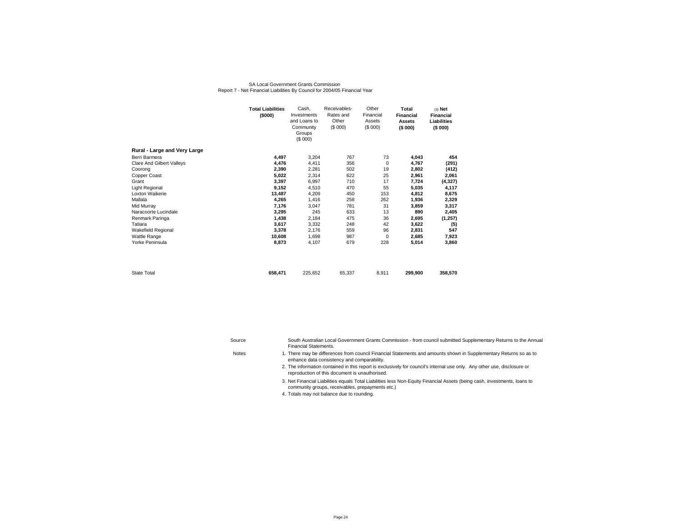#### SA Local Government Grants CommissionReport 7 - Net Financial Liabilities By Council for 2004/05 Financial Year

|                              | <b>Total Liabilities</b><br>(\$000) | Cash,<br>Investments<br>and Loans to<br>Community<br>Groups<br>(\$000) | Receivables-<br>Rates and<br>Other<br>(\$000) | Other<br>Financial<br>Assets<br>(S 000) | Total<br><b>Financial</b><br><b>Assets</b><br>(\$000) | $(3)$ Net<br><b>Financial</b><br>Liabilities<br>(\$000) |  |
|------------------------------|-------------------------------------|------------------------------------------------------------------------|-----------------------------------------------|-----------------------------------------|-------------------------------------------------------|---------------------------------------------------------|--|
| Rural - Large and Very Large |                                     |                                                                        |                                               |                                         |                                                       |                                                         |  |
| Berri Barmera                | 4,497                               | 3,204                                                                  | 767                                           | 73                                      | 4,043                                                 | 454                                                     |  |
| Clare And Gilbert Valleys    | 4,476                               | 4,411                                                                  | 356                                           | $\mathbf 0$                             | 4,767                                                 | (291)                                                   |  |
| Coorong                      | 2,390                               | 2,281                                                                  | 502                                           | 19                                      | 2,802                                                 | (412)                                                   |  |
| Copper Coast                 | 5,022                               | 2,314                                                                  | 622                                           | 25                                      | 2,961                                                 | 2,061                                                   |  |
| Grant                        | 3,397                               | 6,997                                                                  | 710                                           | 17                                      | 7,724                                                 | (4, 327)                                                |  |
| Light Regional               | 9,152                               | 4.510                                                                  | 470                                           | 55                                      | 5,035                                                 | 4,117                                                   |  |
| Loxton Waikerie              | 13,487                              | 4,209                                                                  | 450                                           | 153                                     | 4,812                                                 | 8,675                                                   |  |
| Mallala                      | 4,265                               | 1,416                                                                  | 258                                           | 262                                     | 1,936                                                 | 2,329                                                   |  |
| Mid Murray                   | 7,176                               | 3.047                                                                  | 781                                           | 31                                      | 3,859                                                 | 3,317                                                   |  |
| Naracoorte Lucindale         | 3,295                               | 245                                                                    | 633                                           | 13                                      | 890                                                   | 2,405                                                   |  |
| Renmark Paringa              | 1,438                               | 2.184                                                                  | 475                                           | 36                                      | 2,695                                                 | (1, 257)                                                |  |
| Tatiara                      | 3,617                               | 3,332                                                                  | 248                                           | 42                                      | 3,622                                                 | (5)                                                     |  |
| Wakefield Regional           | 3,378                               | 2,176                                                                  | 559                                           | 96                                      | 2,831                                                 | 547                                                     |  |
| Wattle Range                 | 10,608                              | 1,698                                                                  | 987                                           | 0                                       | 2,685                                                 | 7,923                                                   |  |
| Yorke Peninsula              | 8,873                               | 4,107                                                                  | 679                                           | 228                                     | 5,014                                                 | 3,860                                                   |  |
| <b>State Total</b>           | 658,471                             | 225.652                                                                | 65,337                                        | 8,911                                   | 299,900                                               | 358,570                                                 |  |

| Source       | South Australian Local Government Grants Commission - from council submitted Supplementary Returns to the Annual<br><b>Financial Statements.</b>                           |
|--------------|----------------------------------------------------------------------------------------------------------------------------------------------------------------------------|
| <b>Notes</b> | 1. There may be differences from council Financial Statements and amounts shown in Supplementary Returns so as to<br>enhance data consistency and comparability.           |
|              | 2. The information contained in this report is exclusively for council's internal use only. Any other use, disclosure or<br>reproduction of this document is unauthorised. |

3. Net Financial Liabilities equals Total Liabilities less Non-Equity Financial Assets (being cash, investments, loans to community groups, receivables, prepayments etc.)

4. Totals may not balance due to rounding.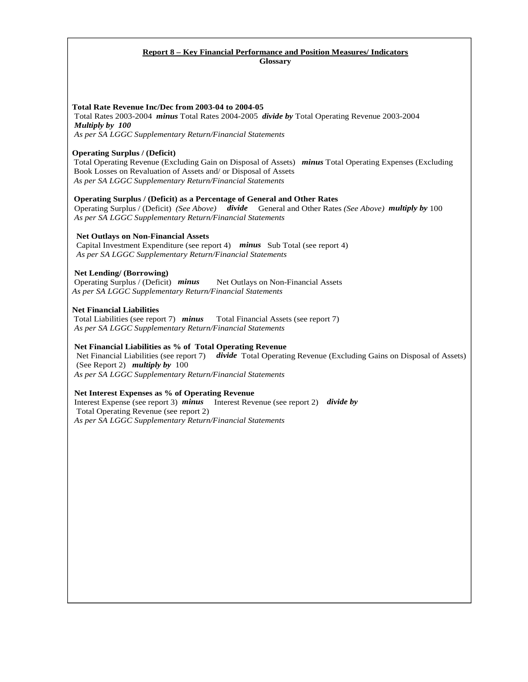## **Report 8 – Key Financial Performance and Position Measures/ Indicators Glossary**

## **Total Rate Revenue Inc/Dec from 2003-04 to 2004-05**

 Total Rates 2003-2004 *minus* Total Rates 2004-2005 *divide by* Total Operating Revenue 2003-2004 *Multiply by 100*

 *As per SA LGGC Supplementary Return/Financial Statements* 

## **Operating Surplus / (Deficit)**

Total Operating Revenue (Excluding Gain on Disposal of Assets) *minus* Total Operating Expenses (Excluding Book Losses on Revaluation of Assets and/ or Disposal of Assets *As per SA LGGC Supplementary Return/Financial Statements* 

## **Operating Surplus / (Deficit) as a Percentage of General and Other Rates**

 Operating Surplus / (Deficit) *(See Above) divide* General and Other Rates *(See Above) multiply by* 100  *As per SA LGGC Supplementary Return/Financial Statements*

## **Net Outlays on Non-Financial Assets**

 Capital Investment Expenditure (see report 4) *minus* Sub Total (see report 4)  *As per SA LGGC Supplementary Return/Financial Statements* 

## **Net Lending/ (Borrowing)**

Operating Surplus / (Deficit) *minus* Net Outlays on Non-Financial Assets  *As per SA LGGC Supplementary Return/Financial Statements* 

## **Net Financial Liabilities**

Total Liabilities (see report 7) *minus* Total Financial Assets (see report 7)  *As per SA LGGC Supplementary Return/Financial Statements* 

## **Net Financial Liabilities as % of Total Operating Revenue**

 Net Financial Liabilities (see report 7) *divide* Total Operating Revenue (Excluding Gains on Disposal of Assets) (See Report 2) *multiply by* 100

 *As per SA LGGC Supplementary Return/Financial Statements* 

## **Net Interest Expenses as % of Operating Revenue**

Interest Expense (see report 3) *minus* Interest Revenue (see report 2) *divide by* Total Operating Revenue (see report 2)  *As per SA LGGC Supplementary Return/Financial Statements*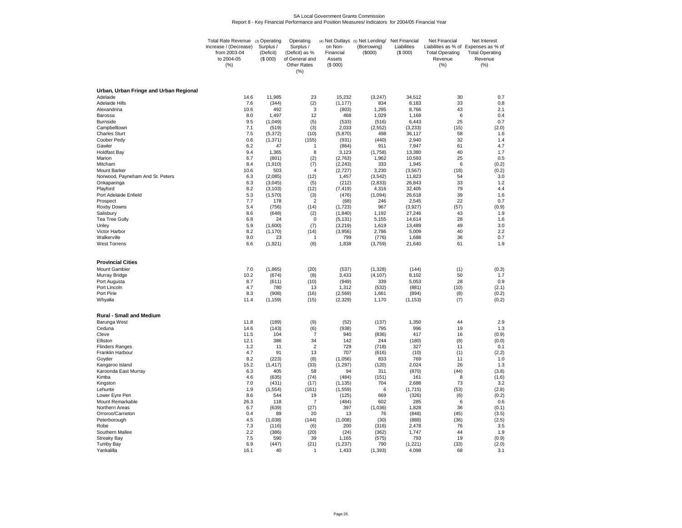# SA Local Government Grants Commission Report 8 - Key Financial Performance and Position Measures/ Indicators for 2004/05 Financial Year

|                                         | Total Rate Revenue (3) Operating<br>Increase / (Decrease)<br>from 2003-04<br>to 2004-05<br>(% ) | Surplus /<br>(Deficit)<br>(S 000) | Operating<br>Surplus /<br>(Deficit) as %<br>of General and<br>Other Rates<br>(% ) | on Non-<br>Financial<br>Assets<br>(\$000) | (4) Net Outlays (5) Net Lending/<br>(Borrowing)<br>(\$000) | Net Financial<br>Liabilities<br>(\$000) | Net Financial<br><b>Total Operating</b><br>Revenue<br>(% ) | Net Interest<br>Liabilities as % of Expenses as % of<br><b>Total Operating</b><br>Revenue<br>(%) |
|-----------------------------------------|-------------------------------------------------------------------------------------------------|-----------------------------------|-----------------------------------------------------------------------------------|-------------------------------------------|------------------------------------------------------------|-----------------------------------------|------------------------------------------------------------|--------------------------------------------------------------------------------------------------|
| Urban, Urban Fringe and Urban Regional  |                                                                                                 |                                   |                                                                                   |                                           |                                                            |                                         |                                                            |                                                                                                  |
| Adelaide                                | 14.6                                                                                            | 11,985                            | 23                                                                                | 15,232                                    | (3, 247)                                                   | 34,512                                  | 30                                                         | 0.7                                                                                              |
| <b>Adelaide Hills</b><br>Alexandrina    | 7.6<br>10.6                                                                                     | (344)<br>492                      | (2)<br>3                                                                          | (1, 177)                                  | 834                                                        | 8,183<br>8,766                          | 33<br>43                                                   | 0.8<br>2.1                                                                                       |
| Barossa                                 | 8.0                                                                                             | 1,497                             | 12                                                                                | (803)<br>468                              | 1,295<br>1,029                                             | 1,168                                   | 6                                                          | 0.4                                                                                              |
| <b>Burnside</b>                         | 9.5                                                                                             | (1,049)                           | (5)                                                                               | (533)                                     | (516)                                                      | 6,443                                   | 25                                                         | 0.7                                                                                              |
| Campbelltown                            | 7.1                                                                                             | (519)                             | (3)                                                                               | 2,033                                     | (2, 552)                                                   | (3,233)                                 | (15)                                                       | (2.0)                                                                                            |
| <b>Charles Sturt</b><br>Coober Pedy     | 7.5<br>0.6                                                                                      | (5, 372)<br>(1, 371)              | (10)<br>(155)                                                                     | (5,870)<br>(931)                          | 498<br>(440)                                               | 36,117<br>2,940                         | 58<br>32                                                   | 1.6<br>1.4                                                                                       |
| Gawler                                  | 6.2                                                                                             | 47                                | $\overline{1}$                                                                    | (864)                                     | 911                                                        | 7,947                                   | 61                                                         | 4.7                                                                                              |
| <b>Holdfast Bay</b>                     | 9.4                                                                                             | 1,365                             | 8                                                                                 | 3,123                                     | (1,758)                                                    | 13,380                                  | 40                                                         | 1.7                                                                                              |
| Marion                                  | 6.7                                                                                             | (801)                             | (2)                                                                               | (2,763)                                   | 1,962                                                      | 10,593                                  | 25                                                         | 0.5                                                                                              |
| Mitcham<br><b>Mount Barker</b>          | 8.4<br>10.6                                                                                     | (1,910)<br>503                    | (7)<br>$\overline{4}$                                                             | (2, 243)<br>(2,727)                       | 333<br>3,230                                               | 1,945<br>(3, 567)                       | 6<br>(18)                                                  | (0.2)<br>(0.2)                                                                                   |
| Norwood, Payneham And St. Peters        | 6.3                                                                                             | (2,085)                           | (12)                                                                              | 1,457                                     | (3, 542)                                                   | 11,823                                  | 54                                                         | 3.0                                                                                              |
| Onkaparinga                             | 6.3                                                                                             | (3,045)                           | (5)                                                                               | (212)                                     | (2,833)                                                    | 26,843                                  | 33                                                         | 1.2                                                                                              |
| Playford                                | 8.2                                                                                             | (3, 103)                          | (12)                                                                              | (7, 419)<br>(476)                         | 4,316                                                      | 32.405<br>26,618                        | 79<br>39                                                   | 4.4<br>1.6                                                                                       |
| Port Adelaide Enfield<br>Prospect       | 5.3<br>7.7                                                                                      | (1,570)<br>178                    | (3)<br>$\overline{2}$                                                             | (68)                                      | (1,094)<br>246                                             | 2,545                                   | 22                                                         | 0.7                                                                                              |
| Roxby Downs                             | 5.4                                                                                             | (756)                             | (14)                                                                              | (1, 723)                                  | 967                                                        | (3,927)                                 | (57)                                                       | (0.9)                                                                                            |
| Salisbury                               | 8.6                                                                                             | (648)                             | (2)                                                                               | (1, 840)                                  | 1,192                                                      | 27,246                                  | 43                                                         | 1.9                                                                                              |
| Tea Tree Gully                          | 6.8<br>5.9                                                                                      | 24<br>(1,600)                     | $\mathbf 0$<br>(7)                                                                | (5, 131)<br>(3,219)                       | 5,155<br>1,619                                             | 14,614<br>13,489                        | 28<br>49                                                   | 1.6<br>3.0                                                                                       |
| Unley<br>Victor Harbor                  | 8.2                                                                                             | (1, 170)                          | (14)                                                                              | (3,956)                                   | 2,786                                                      | 5,009                                   | 40                                                         | 2.2                                                                                              |
| Walkerville                             | 9.0                                                                                             | 23                                | $\overline{1}$                                                                    | 799                                       | (776)                                                      | 1,688                                   | 36                                                         | 0.7                                                                                              |
| <b>West Torrens</b>                     | 6.6                                                                                             | (1,921)                           | (8)                                                                               | 1,838                                     | (3,759)                                                    | 21,640                                  | 61                                                         | 1.9                                                                                              |
| <b>Provincial Cities</b>                |                                                                                                 |                                   |                                                                                   |                                           |                                                            |                                         |                                                            |                                                                                                  |
| <b>Mount Gambier</b>                    | 7.0                                                                                             | (1,865)                           | (20)                                                                              | (537)                                     | (1,328)                                                    | (144)                                   | (1)                                                        | (0.3)                                                                                            |
| Murray Bridge                           | 10.2                                                                                            | (674)                             | (8)                                                                               | 3,433                                     | (4, 107)                                                   | 8,102                                   | 50                                                         | 1.7                                                                                              |
| Port Augusta                            | 8.7                                                                                             | (611)                             | (10)                                                                              | (949)                                     | 339                                                        | 5,053                                   | 28                                                         | 0.9                                                                                              |
| Port Lincoln<br>Port Pirie              | 4.7<br>8.3                                                                                      | 780<br>(908)                      | 13<br>(16)                                                                        | 1,312<br>(2, 569)                         | (532)<br>1,661                                             | (881)<br>(894)                          | (10)<br>(8)                                                | (2.1)<br>(0.2)                                                                                   |
| Whyalla                                 | 11.4                                                                                            | (1, 159)                          | (15)                                                                              | (2, 329)                                  | 1,170                                                      | (1, 153)                                | (7)                                                        | (0.2)                                                                                            |
| <b>Rural - Small and Medium</b>         |                                                                                                 |                                   |                                                                                   |                                           |                                                            |                                         |                                                            |                                                                                                  |
| Barunga West                            | 11.8                                                                                            | (189)                             | (9)                                                                               | (52)                                      | (137)                                                      | 1,350                                   | 44                                                         | 2.9                                                                                              |
| Ceduna                                  | 14.6                                                                                            | (143)                             | (6)                                                                               | (938)                                     | 795                                                        | 996                                     | 19                                                         | 1.3                                                                                              |
| Cleve<br>Elliston                       | 11.5<br>12.1                                                                                    | 104<br>386                        | $\overline{7}$<br>34                                                              | 940<br>142                                | (836)<br>244                                               | 417<br>(180)                            | 16<br>(8)                                                  | (0.9)<br>(0.0)                                                                                   |
| <b>Flinders Ranges</b>                  | 1.2                                                                                             | 11                                | $\overline{2}$                                                                    | 729                                       | (718)                                                      | 327                                     | 11                                                         | 0.1                                                                                              |
| Franklin Harbour                        | 4.7                                                                                             | 91                                | 13                                                                                | 707                                       | (616)                                                      | (10)                                    | (1)                                                        | (2.2)                                                                                            |
| Goyder                                  | 8.2                                                                                             | (223)                             | (8)                                                                               | (1,056)                                   | 833                                                        | 769                                     | 11                                                         | 1.0                                                                                              |
| Kangaroo Island<br>Karoonda East Murray | 15.2<br>6.3                                                                                     | (1, 417)<br>405                   | (33)<br>58                                                                        | (1, 297)<br>94                            | (120)<br>311                                               | 2,024<br>(870)                          | 26<br>(44)                                                 | 1.3<br>(3.8)                                                                                     |
| Kimba                                   | 4.6                                                                                             | (635)                             | (74)                                                                              | (484)                                     | (151)                                                      | 161                                     | 8                                                          | (1.6)                                                                                            |
| Kingston                                | 7.0                                                                                             | (431)                             | (17)                                                                              | (1, 135)                                  | 704                                                        | 2,688                                   | 73                                                         | 3.2                                                                                              |
| Lehunte<br>Lower Eyre Pen               | 1.9<br>8.6                                                                                      | (1,554)<br>544                    | (161)<br>19                                                                       | (1, 559)<br>(125)                         | 6<br>669                                                   | (1,715)<br>(326)                        | (53)<br>(6)                                                | (2.8)<br>(0.2)                                                                                   |
| Mount Remarkable                        | 26.3                                                                                            | 118                               | $\overline{7}$                                                                    | (484)                                     | 602                                                        | 285                                     | 6                                                          | 0.6                                                                                              |
| Northern Areas                          | 6.7                                                                                             | (639)                             | (27)                                                                              | 397                                       | (1,036)                                                    | 1,828                                   | 36                                                         | (0.1)                                                                                            |
| Orroroo/Carrieton                       | 0.4                                                                                             | 89                                | 20                                                                                | 13                                        | 76                                                         | (848)                                   | (45)                                                       | (3.5)                                                                                            |
| Peterborough<br>Robe                    | 4.5<br>7.3                                                                                      | (1,038)<br>(116)                  | (144)<br>(6)                                                                      | (1,008)<br>200                            | (30)<br>(316)                                              | (888)<br>2,478                          | (36)<br>76                                                 | (2.5)<br>3.5                                                                                     |
| Southern Mallee                         | 2.2                                                                                             | (386)                             | (20)                                                                              | (24)                                      | (362)                                                      | 1,747                                   | 44                                                         | 1.9                                                                                              |
| <b>Streaky Bay</b>                      | 7.5                                                                                             | 590                               | 39                                                                                | 1,165                                     | (575)                                                      | 793                                     | 19                                                         | (0.9)                                                                                            |
| <b>Tumby Bay</b>                        | 6.9                                                                                             | (447)                             | (21)                                                                              | (1, 237)                                  | 790                                                        | (1,221)                                 | (33)                                                       | (2.0)                                                                                            |
| Yankalilla                              | 16.1                                                                                            | 40                                |                                                                                   | 1,433                                     | (1, 393)                                                   | 4,098                                   | 68                                                         | 3.1                                                                                              |